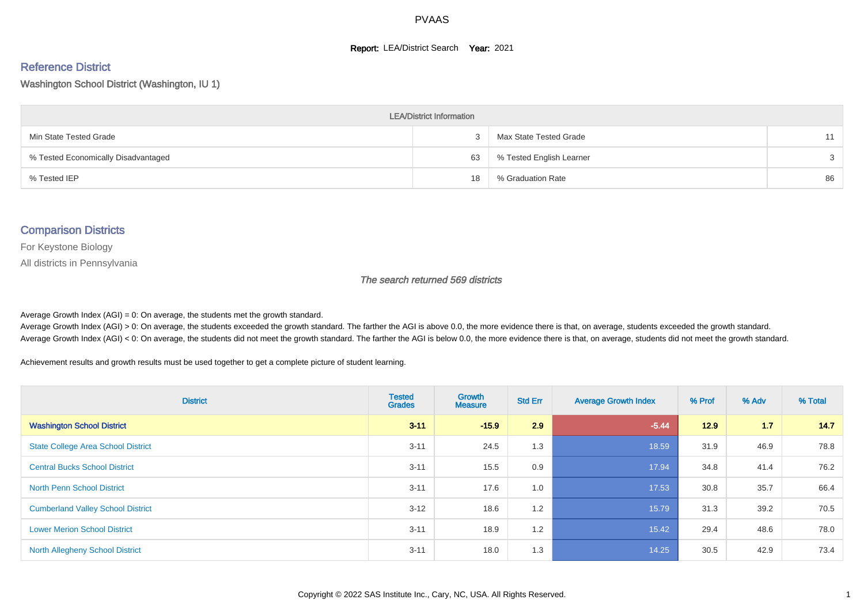#### **Report: LEA/District Search Year: 2021**

# Reference District

Washington School District (Washington, IU 1)

| <b>LEA/District Information</b>     |    |                          |    |  |  |  |  |  |  |  |
|-------------------------------------|----|--------------------------|----|--|--|--|--|--|--|--|
| Min State Tested Grade              |    | Max State Tested Grade   | 11 |  |  |  |  |  |  |  |
| % Tested Economically Disadvantaged | 63 | % Tested English Learner | 3  |  |  |  |  |  |  |  |
| % Tested IEP                        | 18 | % Graduation Rate        | 86 |  |  |  |  |  |  |  |

#### Comparison Districts

For Keystone Biology

All districts in Pennsylvania

The search returned 569 districts

Average Growth Index  $(AGI) = 0$ : On average, the students met the growth standard.

Average Growth Index (AGI) > 0: On average, the students exceeded the growth standard. The farther the AGI is above 0.0, the more evidence there is that, on average, students exceeded the growth standard. Average Growth Index (AGI) < 0: On average, the students did not meet the growth standard. The farther the AGI is below 0.0, the more evidence there is that, on average, students did not meet the growth standard.

Achievement results and growth results must be used together to get a complete picture of student learning.

| <b>District</b>                           | <b>Tested</b><br><b>Grades</b> | Growth<br><b>Measure</b> | <b>Std Err</b> | <b>Average Growth Index</b> | % Prof | % Adv | % Total |
|-------------------------------------------|--------------------------------|--------------------------|----------------|-----------------------------|--------|-------|---------|
| <b>Washington School District</b>         | $3 - 11$                       | $-15.9$                  | 2.9            | $-5.44$                     | 12.9   | 1.7   | 14.7    |
| <b>State College Area School District</b> | $3 - 11$                       | 24.5                     | 1.3            | 18.59                       | 31.9   | 46.9  | 78.8    |
| <b>Central Bucks School District</b>      | $3 - 11$                       | 15.5                     | 0.9            | 17.94                       | 34.8   | 41.4  | 76.2    |
| <b>North Penn School District</b>         | $3 - 11$                       | 17.6                     | 1.0            | 17.53                       | 30.8   | 35.7  | 66.4    |
| <b>Cumberland Valley School District</b>  | $3 - 12$                       | 18.6                     | 1.2            | 15.79                       | 31.3   | 39.2  | 70.5    |
| <b>Lower Merion School District</b>       | $3 - 11$                       | 18.9                     | 1.2            | 15.42                       | 29.4   | 48.6  | 78.0    |
| <b>North Allegheny School District</b>    | $3 - 11$                       | 18.0                     | 1.3            | 14.25                       | 30.5   | 42.9  | 73.4    |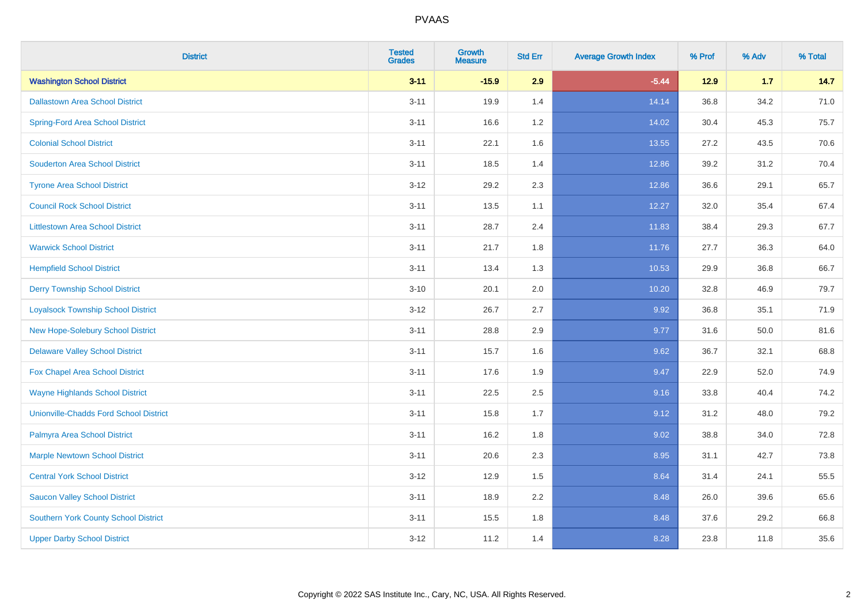| <b>District</b>                               | <b>Tested</b><br><b>Grades</b> | Growth<br><b>Measure</b> | <b>Std Err</b> | <b>Average Growth Index</b> | % Prof | % Adv | % Total |
|-----------------------------------------------|--------------------------------|--------------------------|----------------|-----------------------------|--------|-------|---------|
| <b>Washington School District</b>             | $3 - 11$                       | $-15.9$                  | 2.9            | $-5.44$                     | $12.9$ | 1.7   | 14.7    |
| <b>Dallastown Area School District</b>        | $3 - 11$                       | 19.9                     | 1.4            | 14.14                       | 36.8   | 34.2  | 71.0    |
| <b>Spring-Ford Area School District</b>       | $3 - 11$                       | 16.6                     | 1.2            | 14.02                       | 30.4   | 45.3  | 75.7    |
| <b>Colonial School District</b>               | $3 - 11$                       | 22.1                     | 1.6            | 13.55                       | 27.2   | 43.5  | 70.6    |
| <b>Souderton Area School District</b>         | $3 - 11$                       | 18.5                     | 1.4            | 12.86                       | 39.2   | 31.2  | 70.4    |
| <b>Tyrone Area School District</b>            | $3 - 12$                       | 29.2                     | 2.3            | 12.86                       | 36.6   | 29.1  | 65.7    |
| <b>Council Rock School District</b>           | $3 - 11$                       | 13.5                     | 1.1            | 12.27                       | 32.0   | 35.4  | 67.4    |
| <b>Littlestown Area School District</b>       | $3 - 11$                       | 28.7                     | 2.4            | 11.83                       | 38.4   | 29.3  | 67.7    |
| <b>Warwick School District</b>                | $3 - 11$                       | 21.7                     | 1.8            | 11.76                       | 27.7   | 36.3  | 64.0    |
| <b>Hempfield School District</b>              | $3 - 11$                       | 13.4                     | 1.3            | 10.53                       | 29.9   | 36.8  | 66.7    |
| <b>Derry Township School District</b>         | $3 - 10$                       | 20.1                     | 2.0            | 10.20                       | 32.8   | 46.9  | 79.7    |
| <b>Loyalsock Township School District</b>     | $3 - 12$                       | 26.7                     | 2.7            | 9.92                        | 36.8   | 35.1  | 71.9    |
| New Hope-Solebury School District             | $3 - 11$                       | 28.8                     | 2.9            | 9.77                        | 31.6   | 50.0  | 81.6    |
| <b>Delaware Valley School District</b>        | $3 - 11$                       | 15.7                     | 1.6            | 9.62                        | 36.7   | 32.1  | 68.8    |
| Fox Chapel Area School District               | $3 - 11$                       | 17.6                     | 1.9            | 9.47                        | 22.9   | 52.0  | 74.9    |
| <b>Wayne Highlands School District</b>        | $3 - 11$                       | 22.5                     | 2.5            | 9.16                        | 33.8   | 40.4  | 74.2    |
| <b>Unionville-Chadds Ford School District</b> | $3 - 11$                       | 15.8                     | 1.7            | 9.12                        | 31.2   | 48.0  | 79.2    |
| Palmyra Area School District                  | $3 - 11$                       | 16.2                     | 1.8            | 9.02                        | 38.8   | 34.0  | 72.8    |
| <b>Marple Newtown School District</b>         | $3 - 11$                       | 20.6                     | 2.3            | 8.95                        | 31.1   | 42.7  | 73.8    |
| <b>Central York School District</b>           | $3 - 12$                       | 12.9                     | 1.5            | 8.64                        | 31.4   | 24.1  | 55.5    |
| <b>Saucon Valley School District</b>          | $3 - 11$                       | 18.9                     | 2.2            | 8.48                        | 26.0   | 39.6  | 65.6    |
| <b>Southern York County School District</b>   | $3 - 11$                       | 15.5                     | 1.8            | 8.48                        | 37.6   | 29.2  | 66.8    |
| <b>Upper Darby School District</b>            | $3 - 12$                       | 11.2                     | 1.4            | 8.28                        | 23.8   | 11.8  | 35.6    |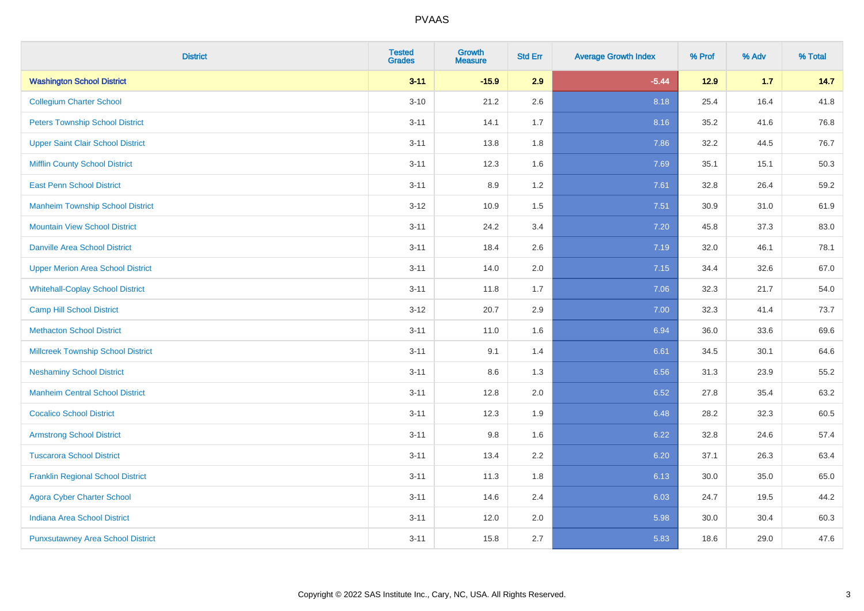| <b>District</b>                           | <b>Tested</b><br><b>Grades</b> | <b>Growth</b><br><b>Measure</b> | <b>Std Err</b> | <b>Average Growth Index</b> | % Prof | % Adv | % Total |
|-------------------------------------------|--------------------------------|---------------------------------|----------------|-----------------------------|--------|-------|---------|
| <b>Washington School District</b>         | $3 - 11$                       | $-15.9$                         | 2.9            | $-5.44$                     | $12.9$ | $1.7$ | 14.7    |
| <b>Collegium Charter School</b>           | $3 - 10$                       | 21.2                            | 2.6            | 8.18                        | 25.4   | 16.4  | 41.8    |
| <b>Peters Township School District</b>    | $3 - 11$                       | 14.1                            | 1.7            | 8.16                        | 35.2   | 41.6  | 76.8    |
| <b>Upper Saint Clair School District</b>  | $3 - 11$                       | 13.8                            | 1.8            | 7.86                        | 32.2   | 44.5  | 76.7    |
| <b>Mifflin County School District</b>     | $3 - 11$                       | 12.3                            | 1.6            | 7.69                        | 35.1   | 15.1  | 50.3    |
| <b>East Penn School District</b>          | $3 - 11$                       | 8.9                             | 1.2            | 7.61                        | 32.8   | 26.4  | 59.2    |
| <b>Manheim Township School District</b>   | $3 - 12$                       | 10.9                            | 1.5            | 7.51                        | 30.9   | 31.0  | 61.9    |
| <b>Mountain View School District</b>      | $3 - 11$                       | 24.2                            | 3.4            | 7.20                        | 45.8   | 37.3  | 83.0    |
| <b>Danville Area School District</b>      | $3 - 11$                       | 18.4                            | 2.6            | 7.19                        | 32.0   | 46.1  | 78.1    |
| <b>Upper Merion Area School District</b>  | $3 - 11$                       | 14.0                            | 2.0            | 7.15                        | 34.4   | 32.6  | 67.0    |
| <b>Whitehall-Coplay School District</b>   | $3 - 11$                       | 11.8                            | 1.7            | 7.06                        | 32.3   | 21.7  | 54.0    |
| <b>Camp Hill School District</b>          | $3-12$                         | 20.7                            | 2.9            | 7.00                        | 32.3   | 41.4  | 73.7    |
| <b>Methacton School District</b>          | $3 - 11$                       | 11.0                            | 1.6            | 6.94                        | 36.0   | 33.6  | 69.6    |
| <b>Millcreek Township School District</b> | $3 - 11$                       | 9.1                             | 1.4            | 6.61                        | 34.5   | 30.1  | 64.6    |
| <b>Neshaminy School District</b>          | $3 - 11$                       | 8.6                             | 1.3            | 6.56                        | 31.3   | 23.9  | 55.2    |
| <b>Manheim Central School District</b>    | $3 - 11$                       | 12.8                            | 2.0            | 6.52                        | 27.8   | 35.4  | 63.2    |
| <b>Cocalico School District</b>           | $3 - 11$                       | 12.3                            | 1.9            | 6.48                        | 28.2   | 32.3  | 60.5    |
| <b>Armstrong School District</b>          | $3 - 11$                       | 9.8                             | 1.6            | 6.22                        | 32.8   | 24.6  | 57.4    |
| <b>Tuscarora School District</b>          | $3 - 11$                       | 13.4                            | 2.2            | 6.20                        | 37.1   | 26.3  | 63.4    |
| <b>Franklin Regional School District</b>  | $3 - 11$                       | 11.3                            | 1.8            | 6.13                        | 30.0   | 35.0  | 65.0    |
| <b>Agora Cyber Charter School</b>         | $3 - 11$                       | 14.6                            | 2.4            | 6.03                        | 24.7   | 19.5  | 44.2    |
| Indiana Area School District              | $3 - 11$                       | 12.0                            | 2.0            | 5.98                        | 30.0   | 30.4  | 60.3    |
| <b>Punxsutawney Area School District</b>  | $3 - 11$                       | 15.8                            | 2.7            | 5.83                        | 18.6   | 29.0  | 47.6    |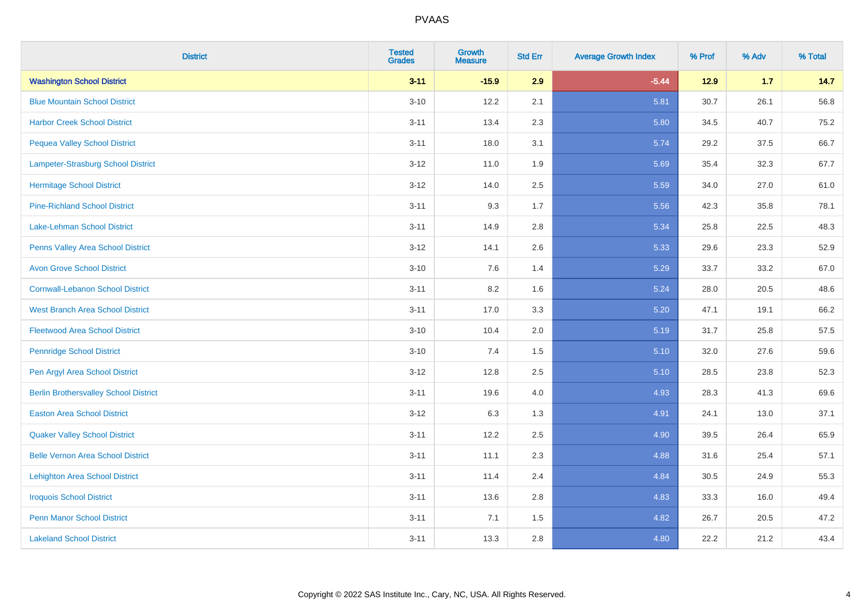| <b>District</b>                              | <b>Tested</b><br><b>Grades</b> | Growth<br><b>Measure</b> | <b>Std Err</b> | <b>Average Growth Index</b> | % Prof | % Adv | % Total |
|----------------------------------------------|--------------------------------|--------------------------|----------------|-----------------------------|--------|-------|---------|
| <b>Washington School District</b>            | $3 - 11$                       | $-15.9$                  | 2.9            | $-5.44$                     | $12.9$ | 1.7   | 14.7    |
| <b>Blue Mountain School District</b>         | $3 - 10$                       | 12.2                     | 2.1            | 5.81                        | 30.7   | 26.1  | 56.8    |
| <b>Harbor Creek School District</b>          | $3 - 11$                       | 13.4                     | 2.3            | 5.80                        | 34.5   | 40.7  | 75.2    |
| <b>Pequea Valley School District</b>         | $3 - 11$                       | 18.0                     | 3.1            | 5.74                        | 29.2   | 37.5  | 66.7    |
| Lampeter-Strasburg School District           | $3 - 12$                       | 11.0                     | 1.9            | 5.69                        | 35.4   | 32.3  | 67.7    |
| <b>Hermitage School District</b>             | $3-12$                         | 14.0                     | 2.5            | 5.59                        | 34.0   | 27.0  | 61.0    |
| <b>Pine-Richland School District</b>         | $3 - 11$                       | 9.3                      | 1.7            | 5.56                        | 42.3   | 35.8  | 78.1    |
| Lake-Lehman School District                  | $3 - 11$                       | 14.9                     | 2.8            | 5.34                        | 25.8   | 22.5  | 48.3    |
| <b>Penns Valley Area School District</b>     | $3-12$                         | 14.1                     | 2.6            | 5.33                        | 29.6   | 23.3  | 52.9    |
| <b>Avon Grove School District</b>            | $3 - 10$                       | 7.6                      | 1.4            | 5.29                        | 33.7   | 33.2  | 67.0    |
| <b>Cornwall-Lebanon School District</b>      | $3 - 11$                       | 8.2                      | 1.6            | 5.24                        | 28.0   | 20.5  | 48.6    |
| <b>West Branch Area School District</b>      | $3 - 11$                       | 17.0                     | 3.3            | 5.20                        | 47.1   | 19.1  | 66.2    |
| <b>Fleetwood Area School District</b>        | $3 - 10$                       | 10.4                     | 2.0            | 5.19                        | 31.7   | 25.8  | 57.5    |
| <b>Pennridge School District</b>             | $3 - 10$                       | 7.4                      | 1.5            | 5.10                        | 32.0   | 27.6  | 59.6    |
| Pen Argyl Area School District               | $3 - 12$                       | 12.8                     | 2.5            | 5.10                        | 28.5   | 23.8  | 52.3    |
| <b>Berlin Brothersvalley School District</b> | $3 - 11$                       | 19.6                     | 4.0            | 4.93                        | 28.3   | 41.3  | 69.6    |
| <b>Easton Area School District</b>           | $3-12$                         | 6.3                      | 1.3            | 4.91                        | 24.1   | 13.0  | 37.1    |
| <b>Quaker Valley School District</b>         | $3 - 11$                       | 12.2                     | 2.5            | 4.90                        | 39.5   | 26.4  | 65.9    |
| <b>Belle Vernon Area School District</b>     | $3 - 11$                       | 11.1                     | 2.3            | 4.88                        | 31.6   | 25.4  | 57.1    |
| <b>Lehighton Area School District</b>        | $3 - 11$                       | 11.4                     | 2.4            | 4.84                        | 30.5   | 24.9  | 55.3    |
| <b>Iroquois School District</b>              | $3 - 11$                       | 13.6                     | 2.8            | 4.83                        | 33.3   | 16.0  | 49.4    |
| <b>Penn Manor School District</b>            | $3 - 11$                       | 7.1                      | 1.5            | 4.82                        | 26.7   | 20.5  | 47.2    |
| <b>Lakeland School District</b>              | $3 - 11$                       | 13.3                     | 2.8            | 4.80                        | 22.2   | 21.2  | 43.4    |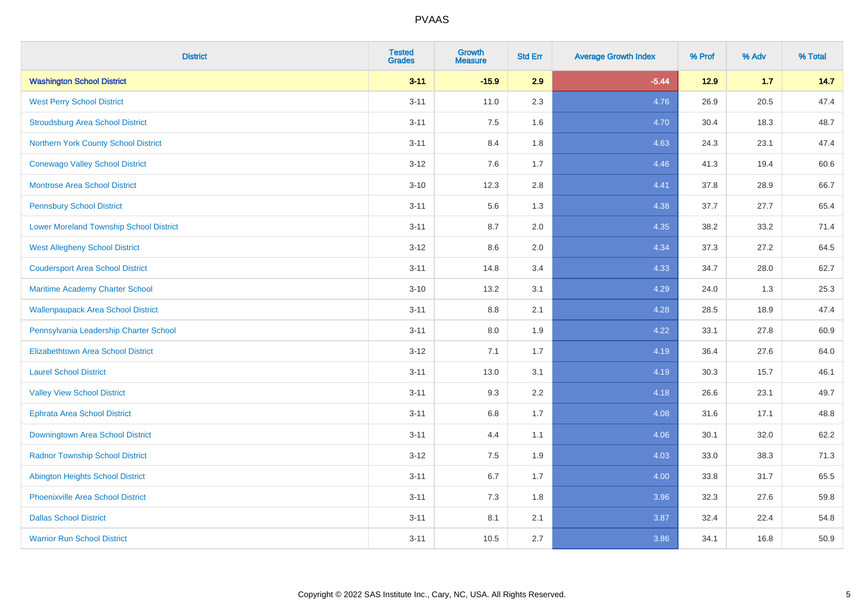| <b>District</b>                                | <b>Tested</b><br><b>Grades</b> | <b>Growth</b><br><b>Measure</b> | <b>Std Err</b> | <b>Average Growth Index</b> | % Prof | % Adv | % Total |
|------------------------------------------------|--------------------------------|---------------------------------|----------------|-----------------------------|--------|-------|---------|
| <b>Washington School District</b>              | $3 - 11$                       | $-15.9$                         | 2.9            | $-5.44$                     | 12.9   | $1.7$ | 14.7    |
| <b>West Perry School District</b>              | $3 - 11$                       | 11.0                            | 2.3            | 4.76                        | 26.9   | 20.5  | 47.4    |
| <b>Stroudsburg Area School District</b>        | $3 - 11$                       | 7.5                             | 1.6            | 4.70                        | 30.4   | 18.3  | 48.7    |
| Northern York County School District           | $3 - 11$                       | 8.4                             | 1.8            | 4.63                        | 24.3   | 23.1  | 47.4    |
| <b>Conewago Valley School District</b>         | $3 - 12$                       | 7.6                             | 1.7            | 4.46                        | 41.3   | 19.4  | 60.6    |
| <b>Montrose Area School District</b>           | $3 - 10$                       | 12.3                            | 2.8            | 4.41                        | 37.8   | 28.9  | 66.7    |
| <b>Pennsbury School District</b>               | $3 - 11$                       | 5.6                             | 1.3            | 4.38                        | 37.7   | 27.7  | 65.4    |
| <b>Lower Moreland Township School District</b> | $3 - 11$                       | 8.7                             | 2.0            | 4.35                        | 38.2   | 33.2  | 71.4    |
| <b>West Allegheny School District</b>          | $3 - 12$                       | 8.6                             | 2.0            | 4.34                        | 37.3   | 27.2  | 64.5    |
| <b>Coudersport Area School District</b>        | $3 - 11$                       | 14.8                            | 3.4            | 4.33                        | 34.7   | 28.0  | 62.7    |
| Maritime Academy Charter School                | $3 - 10$                       | 13.2                            | 3.1            | 4.29                        | 24.0   | 1.3   | 25.3    |
| <b>Wallenpaupack Area School District</b>      | $3 - 11$                       | 8.8                             | 2.1            | 4.28                        | 28.5   | 18.9  | 47.4    |
| Pennsylvania Leadership Charter School         | $3 - 11$                       | 8.0                             | 1.9            | 4.22                        | 33.1   | 27.8  | 60.9    |
| <b>Elizabethtown Area School District</b>      | $3-12$                         | 7.1                             | 1.7            | 4.19                        | 36.4   | 27.6  | 64.0    |
| <b>Laurel School District</b>                  | $3 - 11$                       | 13.0                            | 3.1            | 4.19                        | 30.3   | 15.7  | 46.1    |
| <b>Valley View School District</b>             | $3 - 11$                       | 9.3                             | 2.2            | 4.18                        | 26.6   | 23.1  | 49.7    |
| <b>Ephrata Area School District</b>            | $3 - 11$                       | $6.8\,$                         | 1.7            | 4.08                        | 31.6   | 17.1  | 48.8    |
| Downingtown Area School District               | $3 - 11$                       | 4.4                             | 1.1            | 4.06                        | 30.1   | 32.0  | 62.2    |
| <b>Radnor Township School District</b>         | $3 - 12$                       | 7.5                             | 1.9            | 4.03                        | 33.0   | 38.3  | 71.3    |
| <b>Abington Heights School District</b>        | $3 - 11$                       | $6.7\,$                         | 1.7            | 4.00                        | 33.8   | 31.7  | 65.5    |
| Phoenixville Area School District              | $3 - 11$                       | 7.3                             | 1.8            | 3.96                        | 32.3   | 27.6  | 59.8    |
| <b>Dallas School District</b>                  | $3 - 11$                       | 8.1                             | 2.1            | 3.87                        | 32.4   | 22.4  | 54.8    |
| <b>Warrior Run School District</b>             | $3 - 11$                       | 10.5                            | 2.7            | 3.86                        | 34.1   | 16.8  | 50.9    |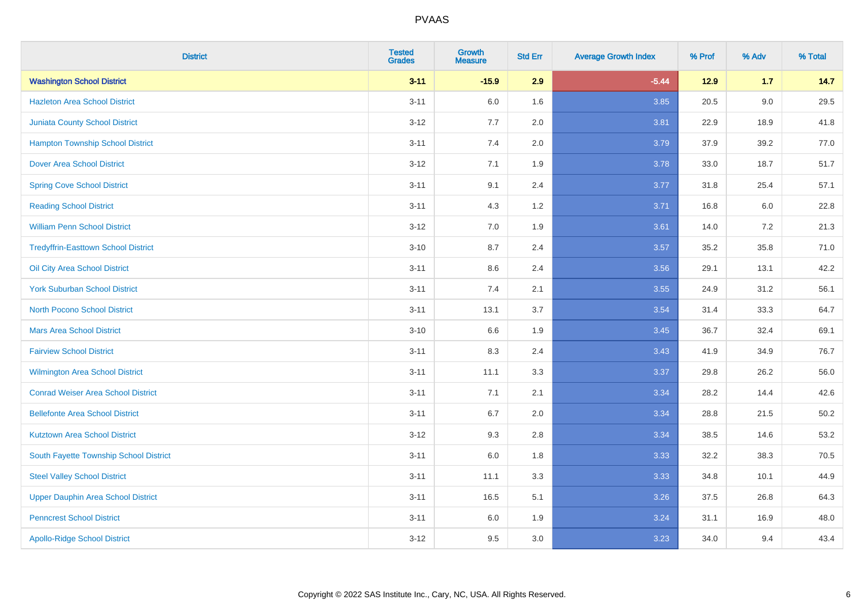| <b>District</b>                            | <b>Tested</b><br><b>Grades</b> | Growth<br><b>Measure</b> | <b>Std Err</b> | <b>Average Growth Index</b> | % Prof | % Adv   | % Total |
|--------------------------------------------|--------------------------------|--------------------------|----------------|-----------------------------|--------|---------|---------|
| <b>Washington School District</b>          | $3 - 11$                       | $-15.9$                  | 2.9            | $-5.44$                     | $12.9$ | 1.7     | 14.7    |
| <b>Hazleton Area School District</b>       | $3 - 11$                       | 6.0                      | 1.6            | 3.85                        | 20.5   | 9.0     | 29.5    |
| <b>Juniata County School District</b>      | $3 - 12$                       | 7.7                      | 2.0            | 3.81                        | 22.9   | 18.9    | 41.8    |
| <b>Hampton Township School District</b>    | $3 - 11$                       | 7.4                      | 2.0            | 3.79                        | 37.9   | 39.2    | 77.0    |
| <b>Dover Area School District</b>          | $3 - 12$                       | 7.1                      | 1.9            | 3.78                        | 33.0   | 18.7    | 51.7    |
| <b>Spring Cove School District</b>         | $3 - 11$                       | 9.1                      | 2.4            | 3.77                        | 31.8   | 25.4    | 57.1    |
| <b>Reading School District</b>             | $3 - 11$                       | 4.3                      | 1.2            | 3.71                        | 16.8   | $6.0\,$ | 22.8    |
| <b>William Penn School District</b>        | $3 - 12$                       | 7.0                      | 1.9            | 3.61                        | 14.0   | 7.2     | 21.3    |
| <b>Tredyffrin-Easttown School District</b> | $3 - 10$                       | 8.7                      | 2.4            | 3.57                        | 35.2   | 35.8    | 71.0    |
| Oil City Area School District              | $3 - 11$                       | 8.6                      | 2.4            | 3.56                        | 29.1   | 13.1    | 42.2    |
| <b>York Suburban School District</b>       | $3 - 11$                       | 7.4                      | 2.1            | 3.55                        | 24.9   | 31.2    | 56.1    |
| <b>North Pocono School District</b>        | $3 - 11$                       | 13.1                     | 3.7            | 3.54                        | 31.4   | 33.3    | 64.7    |
| <b>Mars Area School District</b>           | $3 - 10$                       | 6.6                      | 1.9            | 3.45                        | 36.7   | 32.4    | 69.1    |
| <b>Fairview School District</b>            | $3 - 11$                       | 8.3                      | 2.4            | 3.43                        | 41.9   | 34.9    | 76.7    |
| <b>Wilmington Area School District</b>     | $3 - 11$                       | 11.1                     | 3.3            | 3.37                        | 29.8   | 26.2    | 56.0    |
| <b>Conrad Weiser Area School District</b>  | $3 - 11$                       | 7.1                      | 2.1            | 3.34                        | 28.2   | 14.4    | 42.6    |
| <b>Bellefonte Area School District</b>     | $3 - 11$                       | 6.7                      | 2.0            | 3.34                        | 28.8   | 21.5    | 50.2    |
| <b>Kutztown Area School District</b>       | $3 - 12$                       | 9.3                      | 2.8            | 3.34                        | 38.5   | 14.6    | 53.2    |
| South Fayette Township School District     | $3 - 11$                       | 6.0                      | 1.8            | 3.33                        | 32.2   | 38.3    | 70.5    |
| <b>Steel Valley School District</b>        | $3 - 11$                       | 11.1                     | 3.3            | 3.33                        | 34.8   | 10.1    | 44.9    |
| <b>Upper Dauphin Area School District</b>  | $3 - 11$                       | 16.5                     | 5.1            | 3.26                        | 37.5   | 26.8    | 64.3    |
| <b>Penncrest School District</b>           | $3 - 11$                       | 6.0                      | 1.9            | 3.24                        | 31.1   | 16.9    | 48.0    |
| <b>Apollo-Ridge School District</b>        | $3 - 12$                       | 9.5                      | 3.0            | 3.23                        | 34.0   | 9.4     | 43.4    |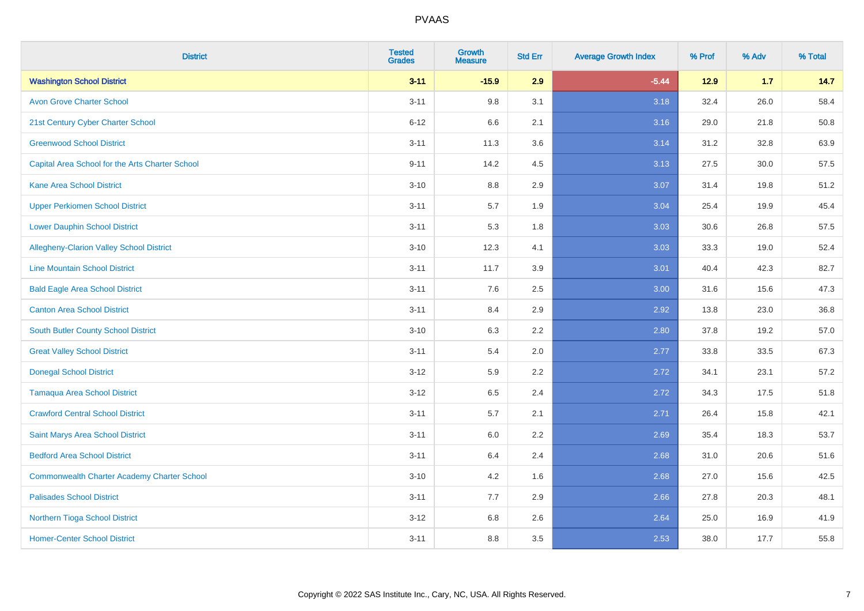| <b>District</b>                                    | <b>Tested</b><br><b>Grades</b> | Growth<br><b>Measure</b> | <b>Std Err</b> | <b>Average Growth Index</b> | % Prof | % Adv | % Total |
|----------------------------------------------------|--------------------------------|--------------------------|----------------|-----------------------------|--------|-------|---------|
| <b>Washington School District</b>                  | $3 - 11$                       | $-15.9$                  | 2.9            | $-5.44$                     | $12.9$ | 1.7   | 14.7    |
| <b>Avon Grove Charter School</b>                   | $3 - 11$                       | 9.8                      | 3.1            | 3.18                        | 32.4   | 26.0  | 58.4    |
| 21st Century Cyber Charter School                  | $6 - 12$                       | 6.6                      | 2.1            | 3.16                        | 29.0   | 21.8  | 50.8    |
| <b>Greenwood School District</b>                   | $3 - 11$                       | 11.3                     | 3.6            | 3.14                        | 31.2   | 32.8  | 63.9    |
| Capital Area School for the Arts Charter School    | $9 - 11$                       | 14.2                     | 4.5            | 3.13                        | 27.5   | 30.0  | 57.5    |
| <b>Kane Area School District</b>                   | $3 - 10$                       | 8.8                      | 2.9            | 3.07                        | 31.4   | 19.8  | 51.2    |
| <b>Upper Perkiomen School District</b>             | $3 - 11$                       | 5.7                      | 1.9            | 3.04                        | 25.4   | 19.9  | 45.4    |
| <b>Lower Dauphin School District</b>               | $3 - 11$                       | 5.3                      | 1.8            | 3.03                        | 30.6   | 26.8  | 57.5    |
| Allegheny-Clarion Valley School District           | $3 - 10$                       | 12.3                     | 4.1            | 3.03                        | 33.3   | 19.0  | 52.4    |
| <b>Line Mountain School District</b>               | $3 - 11$                       | 11.7                     | 3.9            | 3.01                        | 40.4   | 42.3  | 82.7    |
| <b>Bald Eagle Area School District</b>             | $3 - 11$                       | 7.6                      | 2.5            | 3.00                        | 31.6   | 15.6  | 47.3    |
| <b>Canton Area School District</b>                 | $3 - 11$                       | 8.4                      | 2.9            | 2.92                        | 13.8   | 23.0  | 36.8    |
| South Butler County School District                | $3 - 10$                       | 6.3                      | 2.2            | 2.80                        | 37.8   | 19.2  | 57.0    |
| <b>Great Valley School District</b>                | $3 - 11$                       | 5.4                      | 2.0            | 2.77                        | 33.8   | 33.5  | 67.3    |
| <b>Donegal School District</b>                     | $3 - 12$                       | 5.9                      | 2.2            | 2.72                        | 34.1   | 23.1  | 57.2    |
| <b>Tamaqua Area School District</b>                | $3 - 12$                       | 6.5                      | 2.4            | 2.72                        | 34.3   | 17.5  | 51.8    |
| <b>Crawford Central School District</b>            | $3 - 11$                       | 5.7                      | 2.1            | 2.71                        | 26.4   | 15.8  | 42.1    |
| Saint Marys Area School District                   | $3 - 11$                       | 6.0                      | 2.2            | 2.69                        | 35.4   | 18.3  | 53.7    |
| <b>Bedford Area School District</b>                | $3 - 11$                       | 6.4                      | 2.4            | 2.68                        | 31.0   | 20.6  | 51.6    |
| <b>Commonwealth Charter Academy Charter School</b> | $3 - 10$                       | 4.2                      | 1.6            | 2.68                        | 27.0   | 15.6  | 42.5    |
| <b>Palisades School District</b>                   | $3 - 11$                       | 7.7                      | 2.9            | 2.66                        | 27.8   | 20.3  | 48.1    |
| Northern Tioga School District                     | $3 - 12$                       | 6.8                      | 2.6            | 2.64                        | 25.0   | 16.9  | 41.9    |
| <b>Homer-Center School District</b>                | $3 - 11$                       | 8.8                      | 3.5            | 2.53                        | 38.0   | 17.7  | 55.8    |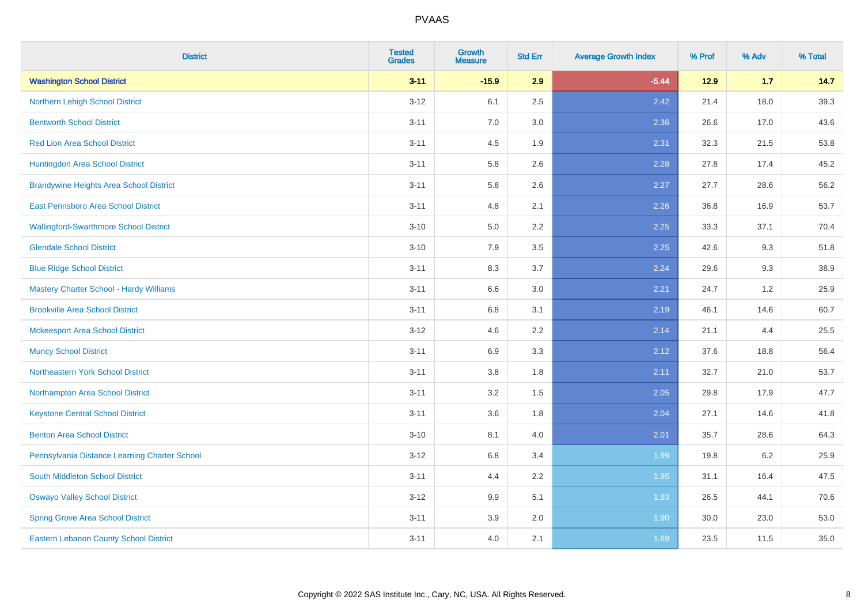| <b>District</b>                                | <b>Tested</b><br><b>Grades</b> | <b>Growth</b><br><b>Measure</b> | <b>Std Err</b> | <b>Average Growth Index</b> | % Prof | % Adv | % Total |
|------------------------------------------------|--------------------------------|---------------------------------|----------------|-----------------------------|--------|-------|---------|
| <b>Washington School District</b>              | $3 - 11$                       | $-15.9$                         | 2.9            | $-5.44$                     | $12.9$ | 1.7   | 14.7    |
| Northern Lehigh School District                | $3 - 12$                       | 6.1                             | 2.5            | 2.42                        | 21.4   | 18.0  | 39.3    |
| <b>Bentworth School District</b>               | $3 - 11$                       | 7.0                             | 3.0            | 2.36                        | 26.6   | 17.0  | 43.6    |
| <b>Red Lion Area School District</b>           | $3 - 11$                       | 4.5                             | 1.9            | 2.31                        | 32.3   | 21.5  | 53.8    |
| Huntingdon Area School District                | $3 - 11$                       | 5.8                             | 2.6            | 2.28                        | 27.8   | 17.4  | 45.2    |
| <b>Brandywine Heights Area School District</b> | $3 - 11$                       | 5.8                             | 2.6            | 2.27                        | 27.7   | 28.6  | 56.2    |
| East Pennsboro Area School District            | $3 - 11$                       | 4.8                             | 2.1            | 2.26                        | 36.8   | 16.9  | 53.7    |
| <b>Wallingford-Swarthmore School District</b>  | $3 - 10$                       | 5.0                             | 2.2            | 2.25                        | 33.3   | 37.1  | 70.4    |
| <b>Glendale School District</b>                | $3 - 10$                       | 7.9                             | 3.5            | 2.25                        | 42.6   | 9.3   | 51.8    |
| <b>Blue Ridge School District</b>              | $3 - 11$                       | 8.3                             | 3.7            | 2.24                        | 29.6   | 9.3   | 38.9    |
| <b>Mastery Charter School - Hardy Williams</b> | $3 - 11$                       | 6.6                             | 3.0            | 2.21                        | 24.7   | 1.2   | 25.9    |
| <b>Brookville Area School District</b>         | $3 - 11$                       | $6.8\,$                         | 3.1            | 2.19                        | 46.1   | 14.6  | 60.7    |
| <b>Mckeesport Area School District</b>         | $3 - 12$                       | 4.6                             | 2.2            | 2.14                        | 21.1   | 4.4   | 25.5    |
| <b>Muncy School District</b>                   | $3 - 11$                       | 6.9                             | 3.3            | 2.12                        | 37.6   | 18.8  | 56.4    |
| Northeastern York School District              | $3 - 11$                       | $3.8\,$                         | 1.8            | 2.11                        | 32.7   | 21.0  | 53.7    |
| Northampton Area School District               | $3 - 11$                       | 3.2                             | 1.5            | 2.05                        | 29.8   | 17.9  | 47.7    |
| <b>Keystone Central School District</b>        | $3 - 11$                       | 3.6                             | 1.8            | 2.04                        | 27.1   | 14.6  | 41.8    |
| <b>Benton Area School District</b>             | $3 - 10$                       | 8.1                             | 4.0            | 2.01                        | 35.7   | 28.6  | 64.3    |
| Pennsylvania Distance Learning Charter School  | $3 - 12$                       | 6.8                             | 3.4            | 1.99                        | 19.8   | 6.2   | 25.9    |
| <b>South Middleton School District</b>         | $3 - 11$                       | 4.4                             | 2.2            | 1.95                        | 31.1   | 16.4  | 47.5    |
| <b>Oswayo Valley School District</b>           | $3-12$                         | 9.9                             | 5.1            | 1.93                        | 26.5   | 44.1  | 70.6    |
| <b>Spring Grove Area School District</b>       | $3 - 11$                       | 3.9                             | 2.0            | 1.90                        | 30.0   | 23.0  | 53.0    |
| <b>Eastern Lebanon County School District</b>  | $3 - 11$                       | 4.0                             | 2.1            | 1.89                        | 23.5   | 11.5  | 35.0    |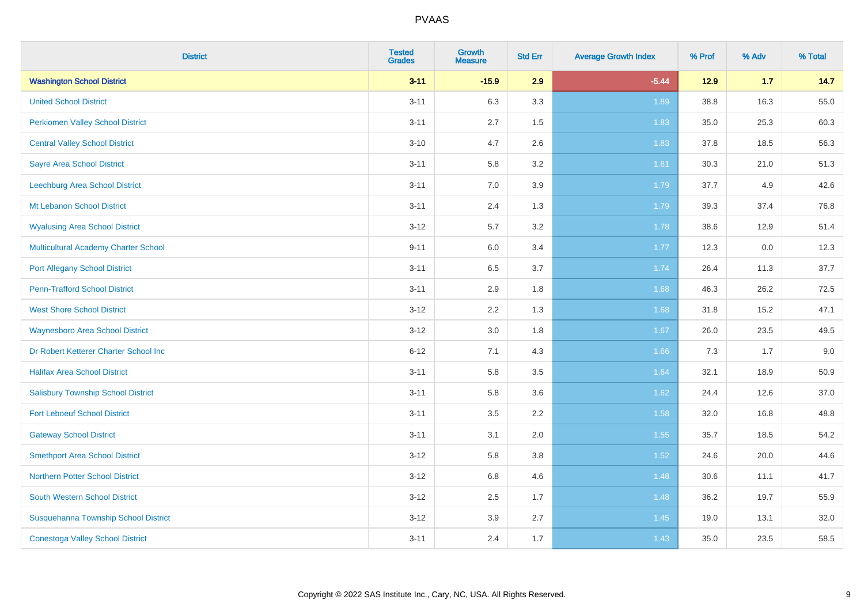| <b>District</b>                             | <b>Tested</b><br><b>Grades</b> | Growth<br><b>Measure</b> | <b>Std Err</b> | <b>Average Growth Index</b> | % Prof | % Adv | % Total |
|---------------------------------------------|--------------------------------|--------------------------|----------------|-----------------------------|--------|-------|---------|
| <b>Washington School District</b>           | $3 - 11$                       | $-15.9$                  | 2.9            | $-5.44$                     | $12.9$ | 1.7   | 14.7    |
| <b>United School District</b>               | $3 - 11$                       | 6.3                      | 3.3            | 1.89                        | 38.8   | 16.3  | 55.0    |
| <b>Perkiomen Valley School District</b>     | $3 - 11$                       | 2.7                      | 1.5            | 1.83                        | 35.0   | 25.3  | 60.3    |
| <b>Central Valley School District</b>       | $3 - 10$                       | 4.7                      | 2.6            | 1.83                        | 37.8   | 18.5  | 56.3    |
| <b>Sayre Area School District</b>           | $3 - 11$                       | 5.8                      | 3.2            | 1.81                        | 30.3   | 21.0  | 51.3    |
| Leechburg Area School District              | $3 - 11$                       | 7.0                      | 3.9            | 1.79                        | 37.7   | 4.9   | 42.6    |
| Mt Lebanon School District                  | $3 - 11$                       | 2.4                      | 1.3            | 1.79                        | 39.3   | 37.4  | 76.8    |
| <b>Wyalusing Area School District</b>       | $3 - 12$                       | 5.7                      | 3.2            | 1.78                        | 38.6   | 12.9  | 51.4    |
| <b>Multicultural Academy Charter School</b> | $9 - 11$                       | 6.0                      | 3.4            | 1.77                        | 12.3   | 0.0   | 12.3    |
| <b>Port Allegany School District</b>        | $3 - 11$                       | $6.5\,$                  | 3.7            | 1.74                        | 26.4   | 11.3  | 37.7    |
| <b>Penn-Trafford School District</b>        | $3 - 11$                       | 2.9                      | 1.8            | 1.68                        | 46.3   | 26.2  | 72.5    |
| <b>West Shore School District</b>           | $3 - 12$                       | 2.2                      | 1.3            | 1.68                        | 31.8   | 15.2  | 47.1    |
| <b>Waynesboro Area School District</b>      | $3 - 12$                       | 3.0                      | 1.8            | 1.67                        | 26.0   | 23.5  | 49.5    |
| Dr Robert Ketterer Charter School Inc       | $6 - 12$                       | 7.1                      | 4.3            | 1.66                        | 7.3    | 1.7   | 9.0     |
| <b>Halifax Area School District</b>         | $3 - 11$                       | 5.8                      | 3.5            | 1.64                        | 32.1   | 18.9  | 50.9    |
| <b>Salisbury Township School District</b>   | $3 - 11$                       | 5.8                      | 3.6            | 1.62                        | 24.4   | 12.6  | 37.0    |
| <b>Fort Leboeuf School District</b>         | $3 - 11$                       | 3.5                      | 2.2            | 1.58                        | 32.0   | 16.8  | 48.8    |
| <b>Gateway School District</b>              | $3 - 11$                       | 3.1                      | 2.0            | 1.55                        | 35.7   | 18.5  | 54.2    |
| <b>Smethport Area School District</b>       | $3 - 12$                       | 5.8                      | 3.8            | $1.52$                      | 24.6   | 20.0  | 44.6    |
| <b>Northern Potter School District</b>      | $3 - 12$                       | 6.8                      | 4.6            | 1.48                        | 30.6   | 11.1  | 41.7    |
| South Western School District               | $3 - 12$                       | 2.5                      | 1.7            | 1.48                        | 36.2   | 19.7  | 55.9    |
| Susquehanna Township School District        | $3 - 12$                       | 3.9                      | 2.7            | 1.45                        | 19.0   | 13.1  | 32.0    |
| <b>Conestoga Valley School District</b>     | $3 - 11$                       | 2.4                      | 1.7            | 1.43                        | 35.0   | 23.5  | 58.5    |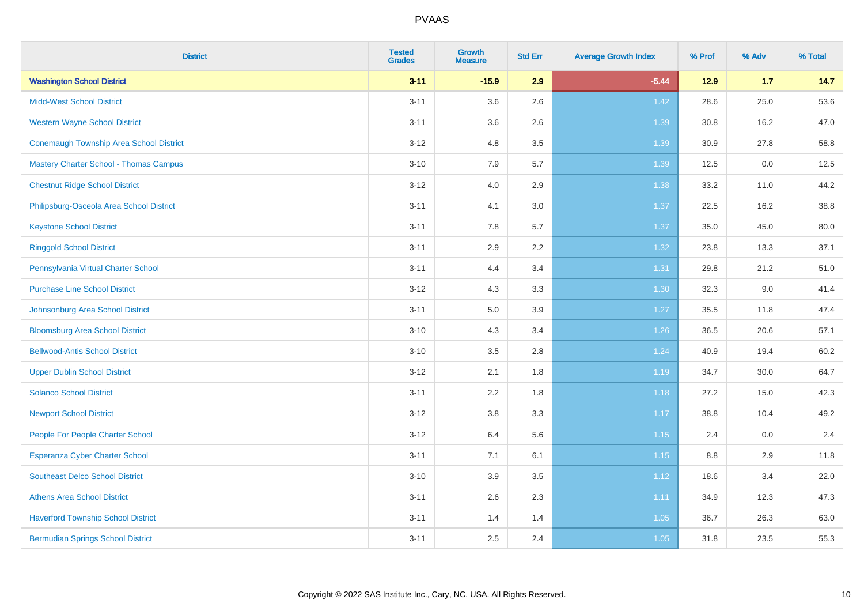| <b>District</b>                                | <b>Tested</b><br><b>Grades</b> | Growth<br><b>Measure</b> | <b>Std Err</b> | <b>Average Growth Index</b> | % Prof | % Adv | % Total |
|------------------------------------------------|--------------------------------|--------------------------|----------------|-----------------------------|--------|-------|---------|
| <b>Washington School District</b>              | $3 - 11$                       | $-15.9$                  | 2.9            | $-5.44$                     | $12.9$ | 1.7   | 14.7    |
| <b>Midd-West School District</b>               | $3 - 11$                       | 3.6                      | 2.6            | 1.42                        | 28.6   | 25.0  | 53.6    |
| <b>Western Wayne School District</b>           | $3 - 11$                       | 3.6                      | 2.6            | 1.39                        | 30.8   | 16.2  | 47.0    |
| <b>Conemaugh Township Area School District</b> | $3 - 12$                       | 4.8                      | 3.5            | 1.39                        | 30.9   | 27.8  | 58.8    |
| <b>Mastery Charter School - Thomas Campus</b>  | $3 - 10$                       | 7.9                      | 5.7            | 1.39                        | 12.5   | 0.0   | 12.5    |
| <b>Chestnut Ridge School District</b>          | $3 - 12$                       | 4.0                      | 2.9            | 1.38                        | 33.2   | 11.0  | 44.2    |
| Philipsburg-Osceola Area School District       | $3 - 11$                       | 4.1                      | 3.0            | 1.37                        | 22.5   | 16.2  | 38.8    |
| <b>Keystone School District</b>                | $3 - 11$                       | 7.8                      | 5.7            | 1.37                        | 35.0   | 45.0  | 80.0    |
| <b>Ringgold School District</b>                | $3 - 11$                       | 2.9                      | 2.2            | 1.32                        | 23.8   | 13.3  | 37.1    |
| Pennsylvania Virtual Charter School            | $3 - 11$                       | 4.4                      | 3.4            | 1.31                        | 29.8   | 21.2  | 51.0    |
| <b>Purchase Line School District</b>           | $3 - 12$                       | 4.3                      | 3.3            | 1.30                        | 32.3   | 9.0   | 41.4    |
| Johnsonburg Area School District               | $3 - 11$                       | 5.0                      | 3.9            | 1.27                        | 35.5   | 11.8  | 47.4    |
| <b>Bloomsburg Area School District</b>         | $3 - 10$                       | 4.3                      | 3.4            | $1.26$                      | 36.5   | 20.6  | 57.1    |
| <b>Bellwood-Antis School District</b>          | $3 - 10$                       | 3.5                      | 2.8            | 1.24                        | 40.9   | 19.4  | 60.2    |
| <b>Upper Dublin School District</b>            | $3 - 12$                       | 2.1                      | 1.8            | 1.19                        | 34.7   | 30.0  | 64.7    |
| <b>Solanco School District</b>                 | $3 - 11$                       | 2.2                      | 1.8            | 1.18                        | 27.2   | 15.0  | 42.3    |
| <b>Newport School District</b>                 | $3 - 12$                       | $3.8\,$                  | 3.3            | 1.17                        | 38.8   | 10.4  | 49.2    |
| People For People Charter School               | $3 - 12$                       | 6.4                      | 5.6            | 1.15                        | 2.4    | 0.0   | 2.4     |
| Esperanza Cyber Charter School                 | $3 - 11$                       | 7.1                      | 6.1            | 1.15                        | 8.8    | 2.9   | 11.8    |
| <b>Southeast Delco School District</b>         | $3 - 10$                       | 3.9                      | 3.5            | 1.12                        | 18.6   | 3.4   | 22.0    |
| <b>Athens Area School District</b>             | $3 - 11$                       | 2.6                      | 2.3            | 1.11                        | 34.9   | 12.3  | 47.3    |
| <b>Haverford Township School District</b>      | $3 - 11$                       | 1.4                      | 1.4            | 1.05                        | 36.7   | 26.3  | 63.0    |
| <b>Bermudian Springs School District</b>       | $3 - 11$                       | 2.5                      | 2.4            | 1.05                        | 31.8   | 23.5  | 55.3    |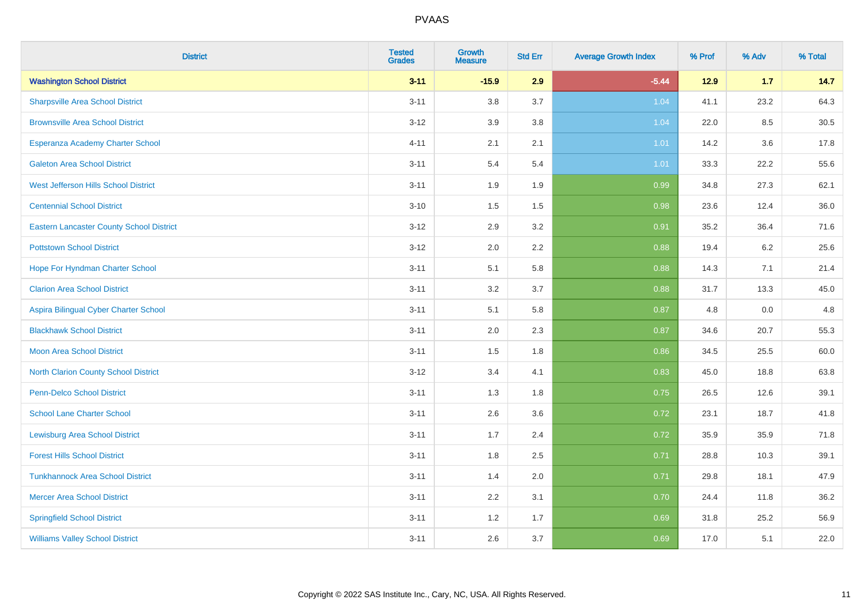| <b>District</b>                                 | <b>Tested</b><br><b>Grades</b> | <b>Growth</b><br><b>Measure</b> | <b>Std Err</b> | <b>Average Growth Index</b> | % Prof | % Adv   | % Total |
|-------------------------------------------------|--------------------------------|---------------------------------|----------------|-----------------------------|--------|---------|---------|
| <b>Washington School District</b>               | $3 - 11$                       | $-15.9$                         | 2.9            | $-5.44$                     | $12.9$ | 1.7     | 14.7    |
| <b>Sharpsville Area School District</b>         | $3 - 11$                       | 3.8                             | 3.7            | 1.04                        | 41.1   | 23.2    | 64.3    |
| <b>Brownsville Area School District</b>         | $3 - 12$                       | 3.9                             | 3.8            | 1.04                        | 22.0   | 8.5     | 30.5    |
| Esperanza Academy Charter School                | $4 - 11$                       | 2.1                             | 2.1            | 1.01                        | 14.2   | $3.6\,$ | 17.8    |
| <b>Galeton Area School District</b>             | $3 - 11$                       | 5.4                             | 5.4            | 1.01                        | 33.3   | 22.2    | 55.6    |
| West Jefferson Hills School District            | $3 - 11$                       | 1.9                             | 1.9            | 0.99                        | 34.8   | 27.3    | 62.1    |
| <b>Centennial School District</b>               | $3 - 10$                       | 1.5                             | 1.5            | 0.98                        | 23.6   | 12.4    | 36.0    |
| <b>Eastern Lancaster County School District</b> | $3 - 12$                       | 2.9                             | 3.2            | 0.91                        | 35.2   | 36.4    | 71.6    |
| <b>Pottstown School District</b>                | $3 - 12$                       | 2.0                             | 2.2            | 0.88                        | 19.4   | 6.2     | 25.6    |
| Hope For Hyndman Charter School                 | $3 - 11$                       | 5.1                             | 5.8            | 0.88                        | 14.3   | 7.1     | 21.4    |
| <b>Clarion Area School District</b>             | $3 - 11$                       | 3.2                             | 3.7            | 0.88                        | 31.7   | 13.3    | 45.0    |
| Aspira Bilingual Cyber Charter School           | $3 - 11$                       | 5.1                             | 5.8            | 0.87                        | 4.8    | 0.0     | 4.8     |
| <b>Blackhawk School District</b>                | $3 - 11$                       | 2.0                             | 2.3            | 0.87                        | 34.6   | 20.7    | 55.3    |
| <b>Moon Area School District</b>                | $3 - 11$                       | 1.5                             | 1.8            | 0.86                        | 34.5   | 25.5    | 60.0    |
| North Clarion County School District            | $3 - 12$                       | 3.4                             | 4.1            | 0.83                        | 45.0   | 18.8    | 63.8    |
| <b>Penn-Delco School District</b>               | $3 - 11$                       | 1.3                             | 1.8            | 0.75                        | 26.5   | 12.6    | 39.1    |
| <b>School Lane Charter School</b>               | $3 - 11$                       | 2.6                             | 3.6            | 0.72                        | 23.1   | 18.7    | 41.8    |
| <b>Lewisburg Area School District</b>           | $3 - 11$                       | 1.7                             | 2.4            | 0.72                        | 35.9   | 35.9    | 71.8    |
| <b>Forest Hills School District</b>             | $3 - 11$                       | 1.8                             | 2.5            | 0.71                        | 28.8   | 10.3    | 39.1    |
| <b>Tunkhannock Area School District</b>         | $3 - 11$                       | 1.4                             | 2.0            | 0.71                        | 29.8   | 18.1    | 47.9    |
| <b>Mercer Area School District</b>              | $3 - 11$                       | 2.2                             | 3.1            | 0.70                        | 24.4   | 11.8    | 36.2    |
| <b>Springfield School District</b>              | $3 - 11$                       | 1.2                             | 1.7            | 0.69                        | 31.8   | 25.2    | 56.9    |
| <b>Williams Valley School District</b>          | $3 - 11$                       | 2.6                             | 3.7            | 0.69                        | 17.0   | 5.1     | 22.0    |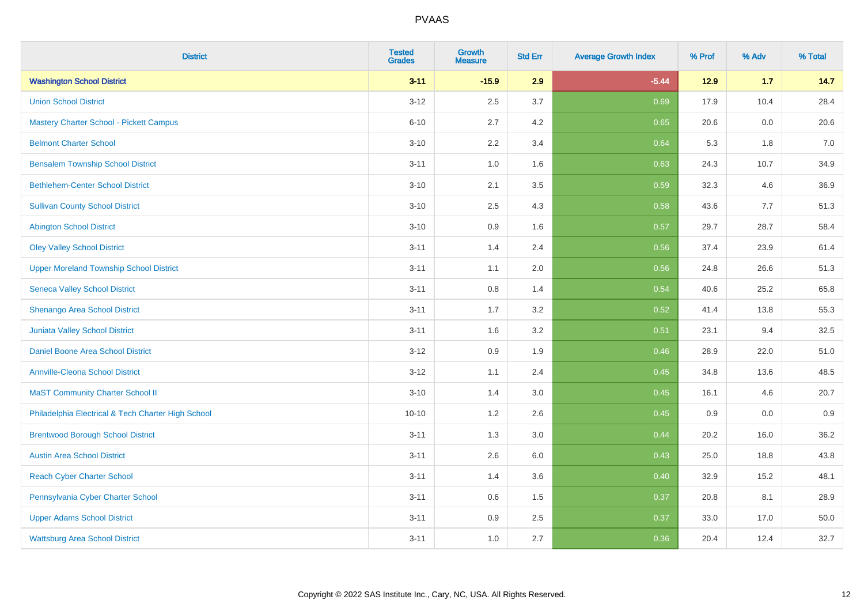| <b>District</b>                                    | <b>Tested</b><br><b>Grades</b> | <b>Growth</b><br><b>Measure</b> | <b>Std Err</b> | <b>Average Growth Index</b> | % Prof | % Adv | % Total |
|----------------------------------------------------|--------------------------------|---------------------------------|----------------|-----------------------------|--------|-------|---------|
| <b>Washington School District</b>                  | $3 - 11$                       | $-15.9$                         | 2.9            | $-5.44$                     | $12.9$ | 1.7   | 14.7    |
| <b>Union School District</b>                       | $3 - 12$                       | 2.5                             | 3.7            | 0.69                        | 17.9   | 10.4  | 28.4    |
| <b>Mastery Charter School - Pickett Campus</b>     | $6 - 10$                       | 2.7                             | 4.2            | 0.65                        | 20.6   | 0.0   | 20.6    |
| <b>Belmont Charter School</b>                      | $3 - 10$                       | 2.2                             | 3.4            | 0.64                        | 5.3    | 1.8   | $7.0\,$ |
| <b>Bensalem Township School District</b>           | $3 - 11$                       | 1.0                             | 1.6            | 0.63                        | 24.3   | 10.7  | 34.9    |
| <b>Bethlehem-Center School District</b>            | $3 - 10$                       | 2.1                             | 3.5            | 0.59                        | 32.3   | 4.6   | 36.9    |
| <b>Sullivan County School District</b>             | $3 - 10$                       | 2.5                             | 4.3            | 0.58                        | 43.6   | 7.7   | 51.3    |
| <b>Abington School District</b>                    | $3 - 10$                       | 0.9                             | 1.6            | 0.57                        | 29.7   | 28.7  | 58.4    |
| <b>Oley Valley School District</b>                 | $3 - 11$                       | 1.4                             | 2.4            | 0.56                        | 37.4   | 23.9  | 61.4    |
| <b>Upper Moreland Township School District</b>     | $3 - 11$                       | 1.1                             | 2.0            | 0.56                        | 24.8   | 26.6  | 51.3    |
| <b>Seneca Valley School District</b>               | $3 - 11$                       | 0.8                             | 1.4            | 0.54                        | 40.6   | 25.2  | 65.8    |
| Shenango Area School District                      | $3 - 11$                       | 1.7                             | 3.2            | 0.52                        | 41.4   | 13.8  | 55.3    |
| Juniata Valley School District                     | $3 - 11$                       | 1.6                             | 3.2            | 0.51                        | 23.1   | 9.4   | 32.5    |
| Daniel Boone Area School District                  | $3 - 12$                       | 0.9                             | 1.9            | 0.46                        | 28.9   | 22.0  | 51.0    |
| <b>Annville-Cleona School District</b>             | $3 - 12$                       | 1.1                             | 2.4            | 0.45                        | 34.8   | 13.6  | 48.5    |
| <b>MaST Community Charter School II</b>            | $3 - 10$                       | 1.4                             | 3.0            | 0.45                        | 16.1   | 4.6   | 20.7    |
| Philadelphia Electrical & Tech Charter High School | $10 - 10$                      | 1.2                             | 2.6            | 0.45                        | 0.9    | 0.0   | 0.9     |
| <b>Brentwood Borough School District</b>           | $3 - 11$                       | 1.3                             | 3.0            | 0.44                        | 20.2   | 16.0  | 36.2    |
| <b>Austin Area School District</b>                 | $3 - 11$                       | 2.6                             | 6.0            | 0.43                        | 25.0   | 18.8  | 43.8    |
| <b>Reach Cyber Charter School</b>                  | $3 - 11$                       | 1.4                             | 3.6            | 0.40                        | 32.9   | 15.2  | 48.1    |
| Pennsylvania Cyber Charter School                  | $3 - 11$                       | 0.6                             | 1.5            | 0.37                        | 20.8   | 8.1   | 28.9    |
| <b>Upper Adams School District</b>                 | $3 - 11$                       | 0.9                             | 2.5            | 0.37                        | 33.0   | 17.0  | 50.0    |
| <b>Wattsburg Area School District</b>              | $3 - 11$                       | 1.0                             | 2.7            | 0.36                        | 20.4   | 12.4  | 32.7    |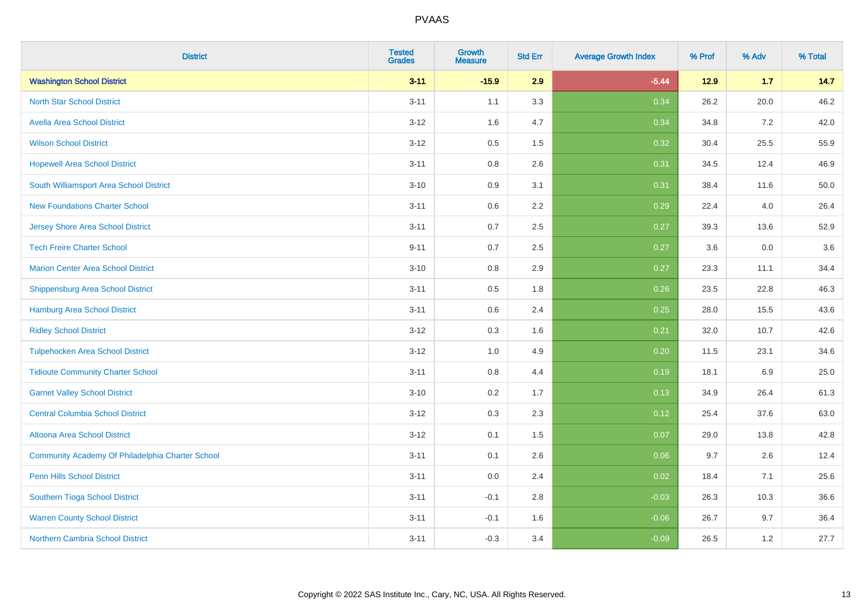| <b>District</b>                                  | <b>Tested</b><br><b>Grades</b> | <b>Growth</b><br><b>Measure</b> | <b>Std Err</b> | <b>Average Growth Index</b> | % Prof | % Adv   | % Total |
|--------------------------------------------------|--------------------------------|---------------------------------|----------------|-----------------------------|--------|---------|---------|
| <b>Washington School District</b>                | $3 - 11$                       | $-15.9$                         | 2.9            | $-5.44$                     | $12.9$ | 1.7     | 14.7    |
| <b>North Star School District</b>                | $3 - 11$                       | 1.1                             | 3.3            | 0.34                        | 26.2   | 20.0    | 46.2    |
| <b>Avella Area School District</b>               | $3-12$                         | 1.6                             | 4.7            | 0.34                        | 34.8   | $7.2\,$ | 42.0    |
| <b>Wilson School District</b>                    | $3 - 12$                       | 0.5                             | 1.5            | 0.32                        | 30.4   | 25.5    | 55.9    |
| <b>Hopewell Area School District</b>             | $3 - 11$                       | 0.8                             | 2.6            | 0.31                        | 34.5   | 12.4    | 46.9    |
| South Williamsport Area School District          | $3 - 10$                       | 0.9                             | 3.1            | 0.31                        | 38.4   | 11.6    | 50.0    |
| <b>New Foundations Charter School</b>            | $3 - 11$                       | 0.6                             | 2.2            | 0.29                        | 22.4   | 4.0     | 26.4    |
| <b>Jersey Shore Area School District</b>         | $3 - 11$                       | 0.7                             | 2.5            | 0.27                        | 39.3   | 13.6    | 52.9    |
| <b>Tech Freire Charter School</b>                | $9 - 11$                       | 0.7                             | 2.5            | 0.27                        | 3.6    | $0.0\,$ | 3.6     |
| <b>Marion Center Area School District</b>        | $3 - 10$                       | 0.8                             | 2.9            | 0.27                        | 23.3   | 11.1    | 34.4    |
| <b>Shippensburg Area School District</b>         | $3 - 11$                       | 0.5                             | 1.8            | 0.26                        | 23.5   | 22.8    | 46.3    |
| <b>Hamburg Area School District</b>              | $3 - 11$                       | 0.6                             | 2.4            | 0.25                        | 28.0   | 15.5    | 43.6    |
| <b>Ridley School District</b>                    | $3 - 12$                       | 0.3                             | 1.6            | 0.21                        | 32.0   | 10.7    | 42.6    |
| <b>Tulpehocken Area School District</b>          | $3-12$                         | 1.0                             | 4.9            | 0.20                        | 11.5   | 23.1    | 34.6    |
| <b>Tidioute Community Charter School</b>         | $3 - 11$                       | 0.8                             | 4.4            | 0.19                        | 18.1   | 6.9     | 25.0    |
| <b>Garnet Valley School District</b>             | $3 - 10$                       | 0.2                             | 1.7            | 0.13                        | 34.9   | 26.4    | 61.3    |
| <b>Central Columbia School District</b>          | $3-12$                         | 0.3                             | 2.3            | 0.12                        | 25.4   | 37.6    | 63.0    |
| Altoona Area School District                     | $3-12$                         | 0.1                             | 1.5            | 0.07                        | 29.0   | 13.8    | 42.8    |
| Community Academy Of Philadelphia Charter School | $3 - 11$                       | 0.1                             | 2.6            | 0.06                        | 9.7    | 2.6     | 12.4    |
| Penn Hills School District                       | $3 - 11$                       | 0.0                             | 2.4            | 0.02                        | 18.4   | 7.1     | 25.6    |
| Southern Tioga School District                   | $3 - 11$                       | $-0.1$                          | 2.8            | $-0.03$                     | 26.3   | 10.3    | 36.6    |
| <b>Warren County School District</b>             | $3 - 11$                       | $-0.1$                          | 1.6            | $-0.06$                     | 26.7   | 9.7     | 36.4    |
| <b>Northern Cambria School District</b>          | $3 - 11$                       | $-0.3$                          | 3.4            | $-0.09$                     | 26.5   | 1.2     | 27.7    |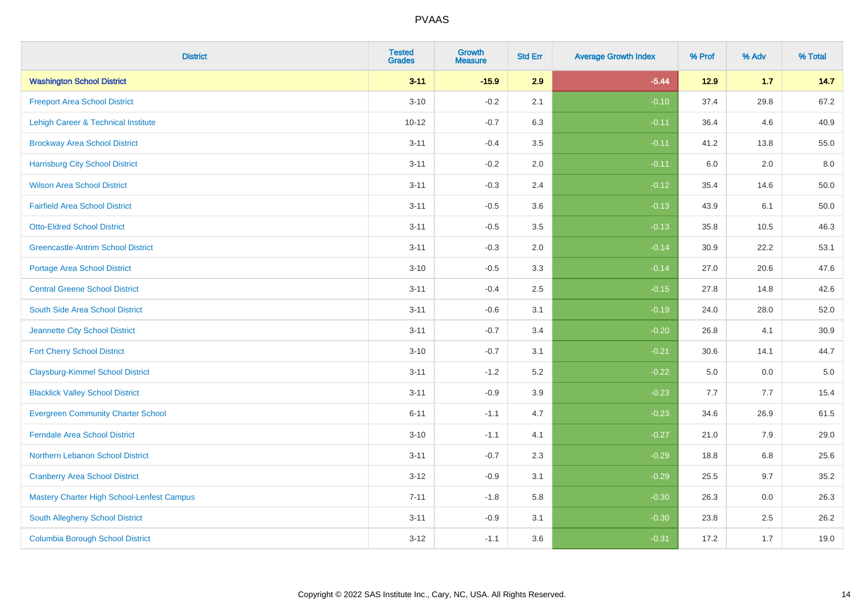| <b>District</b>                                   | <b>Tested</b><br><b>Grades</b> | Growth<br><b>Measure</b> | <b>Std Err</b> | <b>Average Growth Index</b> | % Prof | % Adv   | % Total  |
|---------------------------------------------------|--------------------------------|--------------------------|----------------|-----------------------------|--------|---------|----------|
| <b>Washington School District</b>                 | $3 - 11$                       | $-15.9$                  | 2.9            | $-5.44$                     | $12.9$ | $1.7$   | 14.7     |
| <b>Freeport Area School District</b>              | $3 - 10$                       | $-0.2$                   | 2.1            | $-0.10$                     | 37.4   | 29.8    | 67.2     |
| Lehigh Career & Technical Institute               | $10 - 12$                      | $-0.7$                   | 6.3            | $-0.11$                     | 36.4   | 4.6     | 40.9     |
| <b>Brockway Area School District</b>              | $3 - 11$                       | $-0.4$                   | 3.5            | $-0.11$                     | 41.2   | 13.8    | 55.0     |
| <b>Harrisburg City School District</b>            | $3 - 11$                       | $-0.2$                   | 2.0            | $-0.11$                     | 6.0    | 2.0     | 8.0      |
| <b>Wilson Area School District</b>                | $3 - 11$                       | $-0.3$                   | 2.4            | $-0.12$                     | 35.4   | 14.6    | 50.0     |
| <b>Fairfield Area School District</b>             | $3 - 11$                       | $-0.5$                   | 3.6            | $-0.13$                     | 43.9   | 6.1     | 50.0     |
| <b>Otto-Eldred School District</b>                | $3 - 11$                       | $-0.5$                   | 3.5            | $-0.13$                     | 35.8   | 10.5    | 46.3     |
| <b>Greencastle-Antrim School District</b>         | $3 - 11$                       | $-0.3$                   | 2.0            | $-0.14$                     | 30.9   | 22.2    | 53.1     |
| <b>Portage Area School District</b>               | $3 - 10$                       | $-0.5$                   | 3.3            | $-0.14$                     | 27.0   | 20.6    | 47.6     |
| <b>Central Greene School District</b>             | $3 - 11$                       | $-0.4$                   | 2.5            | $-0.15$                     | 27.8   | 14.8    | 42.6     |
| South Side Area School District                   | $3 - 11$                       | $-0.6$                   | 3.1            | $-0.19$                     | 24.0   | 28.0    | 52.0     |
| Jeannette City School District                    | $3 - 11$                       | $-0.7$                   | 3.4            | $-0.20$                     | 26.8   | 4.1     | $30.9\,$ |
| <b>Fort Cherry School District</b>                | $3 - 10$                       | $-0.7$                   | 3.1            | $-0.21$                     | 30.6   | 14.1    | 44.7     |
| <b>Claysburg-Kimmel School District</b>           | $3 - 11$                       | $-1.2$                   | 5.2            | $-0.22$                     | 5.0    | 0.0     | $5.0\,$  |
| <b>Blacklick Valley School District</b>           | $3 - 11$                       | $-0.9$                   | 3.9            | $-0.23$                     | 7.7    | 7.7     | 15.4     |
| <b>Evergreen Community Charter School</b>         | $6 - 11$                       | $-1.1$                   | 4.7            | $-0.23$                     | 34.6   | 26.9    | 61.5     |
| <b>Ferndale Area School District</b>              | $3 - 10$                       | $-1.1$                   | 4.1            | $-0.27$                     | 21.0   | 7.9     | 29.0     |
| Northern Lebanon School District                  | $3 - 11$                       | $-0.7$                   | 2.3            | $-0.29$                     | 18.8   | $6.8\,$ | 25.6     |
| <b>Cranberry Area School District</b>             | $3 - 12$                       | $-0.9$                   | 3.1            | $-0.29$                     | 25.5   | 9.7     | 35.2     |
| <b>Mastery Charter High School-Lenfest Campus</b> | $7 - 11$                       | $-1.8$                   | 5.8            | $-0.30$                     | 26.3   | 0.0     | 26.3     |
| South Allegheny School District                   | $3 - 11$                       | $-0.9$                   | 3.1            | $-0.30$                     | 23.8   | 2.5     | 26.2     |
| <b>Columbia Borough School District</b>           | $3 - 12$                       | $-1.1$                   | 3.6            | $-0.31$                     | 17.2   | 1.7     | 19.0     |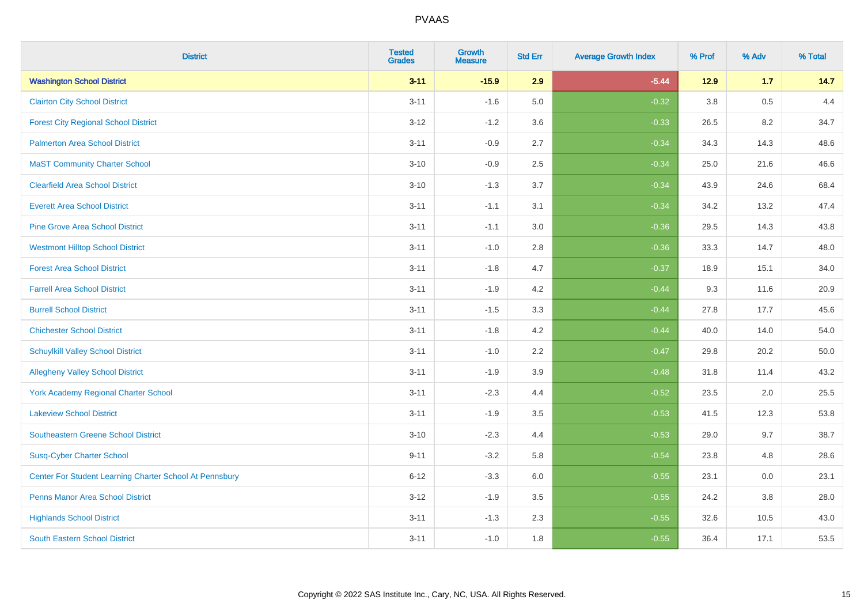| <b>District</b>                                         | <b>Tested</b><br><b>Grades</b> | Growth<br><b>Measure</b> | <b>Std Err</b> | <b>Average Growth Index</b> | % Prof | % Adv | % Total |
|---------------------------------------------------------|--------------------------------|--------------------------|----------------|-----------------------------|--------|-------|---------|
| <b>Washington School District</b>                       | $3 - 11$                       | $-15.9$                  | 2.9            | $-5.44$                     | $12.9$ | 1.7   | 14.7    |
| <b>Clairton City School District</b>                    | $3 - 11$                       | $-1.6$                   | 5.0            | $-0.32$                     | 3.8    | 0.5   | 4.4     |
| <b>Forest City Regional School District</b>             | $3 - 12$                       | $-1.2$                   | 3.6            | $-0.33$                     | 26.5   | 8.2   | 34.7    |
| <b>Palmerton Area School District</b>                   | $3 - 11$                       | $-0.9$                   | 2.7            | $-0.34$                     | 34.3   | 14.3  | 48.6    |
| <b>MaST Community Charter School</b>                    | $3 - 10$                       | $-0.9$                   | 2.5            | $-0.34$                     | 25.0   | 21.6  | 46.6    |
| <b>Clearfield Area School District</b>                  | $3 - 10$                       | $-1.3$                   | 3.7            | $-0.34$                     | 43.9   | 24.6  | 68.4    |
| <b>Everett Area School District</b>                     | $3 - 11$                       | $-1.1$                   | 3.1            | $-0.34$                     | 34.2   | 13.2  | 47.4    |
| <b>Pine Grove Area School District</b>                  | $3 - 11$                       | $-1.1$                   | 3.0            | $-0.36$                     | 29.5   | 14.3  | 43.8    |
| <b>Westmont Hilltop School District</b>                 | $3 - 11$                       | $-1.0$                   | 2.8            | $-0.36$                     | 33.3   | 14.7  | 48.0    |
| <b>Forest Area School District</b>                      | $3 - 11$                       | $-1.8$                   | 4.7            | $-0.37$                     | 18.9   | 15.1  | 34.0    |
| <b>Farrell Area School District</b>                     | $3 - 11$                       | $-1.9$                   | 4.2            | $-0.44$                     | 9.3    | 11.6  | 20.9    |
| <b>Burrell School District</b>                          | $3 - 11$                       | $-1.5$                   | 3.3            | $-0.44$                     | 27.8   | 17.7  | 45.6    |
| <b>Chichester School District</b>                       | $3 - 11$                       | $-1.8$                   | 4.2            | $-0.44$                     | 40.0   | 14.0  | 54.0    |
| <b>Schuylkill Valley School District</b>                | $3 - 11$                       | $-1.0$                   | 2.2            | $-0.47$                     | 29.8   | 20.2  | 50.0    |
| <b>Allegheny Valley School District</b>                 | $3 - 11$                       | $-1.9$                   | 3.9            | $-0.48$                     | 31.8   | 11.4  | 43.2    |
| <b>York Academy Regional Charter School</b>             | $3 - 11$                       | $-2.3$                   | 4.4            | $-0.52$                     | 23.5   | 2.0   | 25.5    |
| <b>Lakeview School District</b>                         | $3 - 11$                       | $-1.9$                   | 3.5            | $-0.53$                     | 41.5   | 12.3  | 53.8    |
| Southeastern Greene School District                     | $3 - 10$                       | $-2.3$                   | 4.4            | $-0.53$                     | 29.0   | 9.7   | 38.7    |
| <b>Susq-Cyber Charter School</b>                        | $9 - 11$                       | $-3.2$                   | 5.8            | $-0.54$                     | 23.8   | 4.8   | 28.6    |
| Center For Student Learning Charter School At Pennsbury | $6 - 12$                       | $-3.3$                   | 6.0            | $-0.55$                     | 23.1   | 0.0   | 23.1    |
| <b>Penns Manor Area School District</b>                 | $3 - 12$                       | $-1.9$                   | 3.5            | $-0.55$                     | 24.2   | 3.8   | 28.0    |
| <b>Highlands School District</b>                        | $3 - 11$                       | $-1.3$                   | 2.3            | $-0.55$                     | 32.6   | 10.5  | 43.0    |
| <b>South Eastern School District</b>                    | $3 - 11$                       | $-1.0$                   | 1.8            | $-0.55$                     | 36.4   | 17.1  | 53.5    |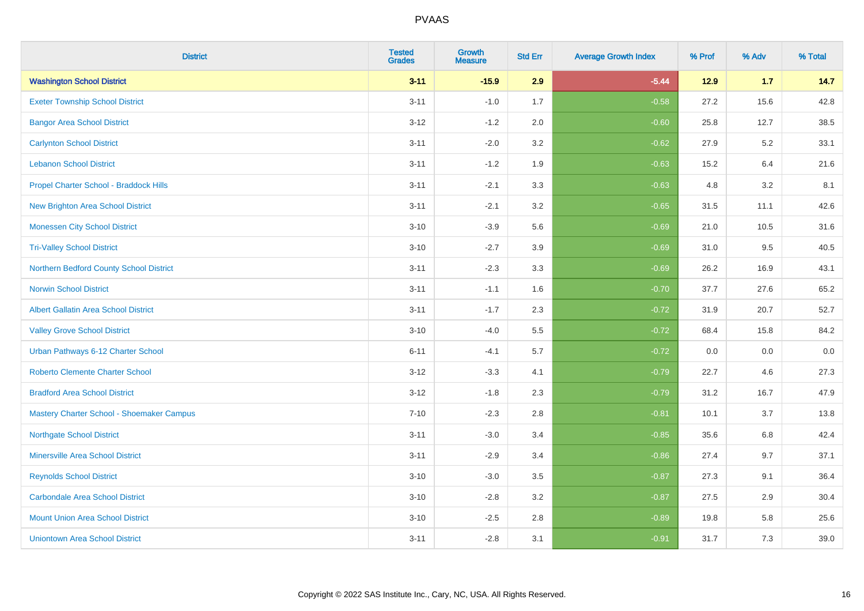| <b>District</b>                             | <b>Tested</b><br><b>Grades</b> | <b>Growth</b><br><b>Measure</b> | <b>Std Err</b> | <b>Average Growth Index</b> | % Prof | % Adv | % Total |
|---------------------------------------------|--------------------------------|---------------------------------|----------------|-----------------------------|--------|-------|---------|
| <b>Washington School District</b>           | $3 - 11$                       | $-15.9$                         | 2.9            | $-5.44$                     | 12.9   | $1.7$ | 14.7    |
| <b>Exeter Township School District</b>      | $3 - 11$                       | $-1.0$                          | 1.7            | $-0.58$                     | 27.2   | 15.6  | 42.8    |
| <b>Bangor Area School District</b>          | $3 - 12$                       | $-1.2$                          | 2.0            | $-0.60$                     | 25.8   | 12.7  | 38.5    |
| <b>Carlynton School District</b>            | $3 - 11$                       | $-2.0$                          | 3.2            | $-0.62$                     | 27.9   | 5.2   | 33.1    |
| <b>Lebanon School District</b>              | $3 - 11$                       | $-1.2$                          | 1.9            | $-0.63$                     | 15.2   | 6.4   | 21.6    |
| Propel Charter School - Braddock Hills      | $3 - 11$                       | $-2.1$                          | 3.3            | $-0.63$                     | 4.8    | 3.2   | 8.1     |
| <b>New Brighton Area School District</b>    | $3 - 11$                       | $-2.1$                          | 3.2            | $-0.65$                     | 31.5   | 11.1  | 42.6    |
| <b>Monessen City School District</b>        | $3 - 10$                       | $-3.9$                          | 5.6            | $-0.69$                     | 21.0   | 10.5  | 31.6    |
| <b>Tri-Valley School District</b>           | $3 - 10$                       | $-2.7$                          | 3.9            | $-0.69$                     | 31.0   | 9.5   | 40.5    |
| Northern Bedford County School District     | $3 - 11$                       | $-2.3$                          | 3.3            | $-0.69$                     | 26.2   | 16.9  | 43.1    |
| <b>Norwin School District</b>               | $3 - 11$                       | $-1.1$                          | 1.6            | $-0.70$                     | 37.7   | 27.6  | 65.2    |
| <b>Albert Gallatin Area School District</b> | $3 - 11$                       | $-1.7$                          | 2.3            | $-0.72$                     | 31.9   | 20.7  | 52.7    |
| <b>Valley Grove School District</b>         | $3 - 10$                       | $-4.0$                          | 5.5            | $-0.72$                     | 68.4   | 15.8  | 84.2    |
| Urban Pathways 6-12 Charter School          | $6 - 11$                       | $-4.1$                          | 5.7            | $-0.72$                     | 0.0    | 0.0   | $0.0\,$ |
| <b>Roberto Clemente Charter School</b>      | $3-12$                         | $-3.3$                          | 4.1            | $-0.79$                     | 22.7   | 4.6   | 27.3    |
| <b>Bradford Area School District</b>        | $3 - 12$                       | $-1.8$                          | 2.3            | $-0.79$                     | 31.2   | 16.7  | 47.9    |
| Mastery Charter School - Shoemaker Campus   | $7 - 10$                       | $-2.3$                          | 2.8            | $-0.81$                     | 10.1   | 3.7   | 13.8    |
| <b>Northgate School District</b>            | $3 - 11$                       | $-3.0$                          | 3.4            | $-0.85$                     | 35.6   | 6.8   | 42.4    |
| <b>Minersville Area School District</b>     | $3 - 11$                       | $-2.9$                          | 3.4            | $-0.86$                     | 27.4   | 9.7   | 37.1    |
| <b>Reynolds School District</b>             | $3 - 10$                       | $-3.0$                          | 3.5            | $-0.87$                     | 27.3   | 9.1   | 36.4    |
| <b>Carbondale Area School District</b>      | $3 - 10$                       | $-2.8$                          | 3.2            | $-0.87$                     | 27.5   | 2.9   | 30.4    |
| <b>Mount Union Area School District</b>     | $3 - 10$                       | $-2.5$                          | 2.8            | $-0.89$                     | 19.8   | 5.8   | 25.6    |
| <b>Uniontown Area School District</b>       | $3 - 11$                       | $-2.8$                          | 3.1            | $-0.91$                     | 31.7   | 7.3   | 39.0    |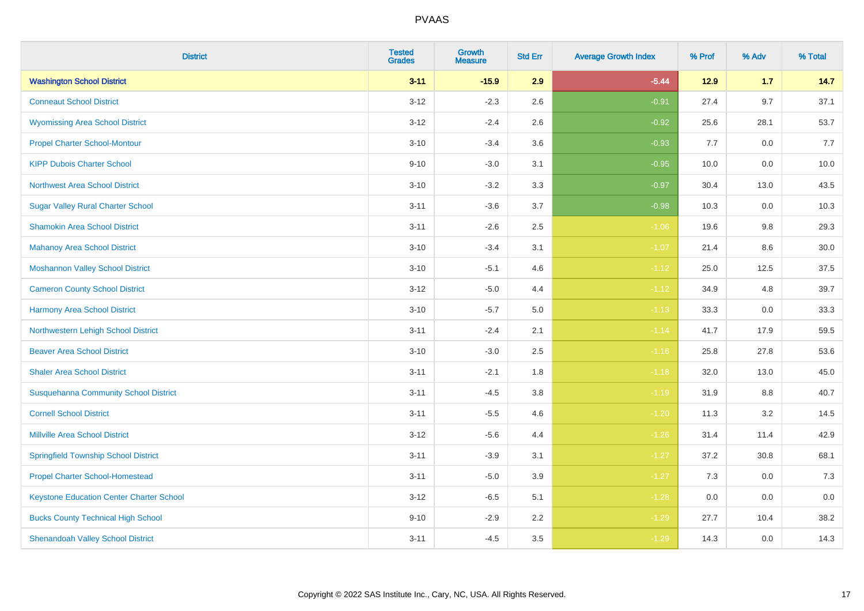| <b>District</b>                              | <b>Tested</b><br><b>Grades</b> | <b>Growth</b><br><b>Measure</b> | <b>Std Err</b> | <b>Average Growth Index</b> | % Prof | % Adv   | % Total |
|----------------------------------------------|--------------------------------|---------------------------------|----------------|-----------------------------|--------|---------|---------|
| <b>Washington School District</b>            | $3 - 11$                       | $-15.9$                         | 2.9            | $-5.44$                     | 12.9   | 1.7     | 14.7    |
| <b>Conneaut School District</b>              | $3 - 12$                       | $-2.3$                          | 2.6            | $-0.91$                     | 27.4   | 9.7     | 37.1    |
| <b>Wyomissing Area School District</b>       | $3 - 12$                       | $-2.4$                          | 2.6            | $-0.92$                     | 25.6   | 28.1    | 53.7    |
| <b>Propel Charter School-Montour</b>         | $3 - 10$                       | $-3.4$                          | 3.6            | $-0.93$                     | 7.7    | $0.0\,$ | 7.7     |
| <b>KIPP Dubois Charter School</b>            | $9 - 10$                       | $-3.0$                          | 3.1            | $-0.95$                     | 10.0   | 0.0     | 10.0    |
| <b>Northwest Area School District</b>        | $3 - 10$                       | $-3.2$                          | 3.3            | $-0.97$                     | 30.4   | 13.0    | 43.5    |
| <b>Sugar Valley Rural Charter School</b>     | $3 - 11$                       | $-3.6$                          | 3.7            | $-0.98$                     | 10.3   | 0.0     | 10.3    |
| <b>Shamokin Area School District</b>         | $3 - 11$                       | $-2.6$                          | 2.5            | $-1.06$                     | 19.6   | 9.8     | 29.3    |
| <b>Mahanoy Area School District</b>          | $3 - 10$                       | $-3.4$                          | 3.1            | $-1.07$                     | 21.4   | 8.6     | 30.0    |
| <b>Moshannon Valley School District</b>      | $3 - 10$                       | $-5.1$                          | 4.6            | $-1.12$                     | 25.0   | 12.5    | 37.5    |
| <b>Cameron County School District</b>        | $3 - 12$                       | $-5.0$                          | 4.4            | $-1.12$                     | 34.9   | 4.8     | 39.7    |
| <b>Harmony Area School District</b>          | $3 - 10$                       | $-5.7$                          | $5.0\,$        | $-1.13$                     | 33.3   | 0.0     | 33.3    |
| Northwestern Lehigh School District          | $3 - 11$                       | $-2.4$                          | 2.1            | $-1.14$                     | 41.7   | 17.9    | 59.5    |
| <b>Beaver Area School District</b>           | $3 - 10$                       | $-3.0$                          | 2.5            | $-1.16$                     | 25.8   | 27.8    | 53.6    |
| <b>Shaler Area School District</b>           | $3 - 11$                       | $-2.1$                          | 1.8            | $-1.18$                     | 32.0   | 13.0    | 45.0    |
| <b>Susquehanna Community School District</b> | $3 - 11$                       | $-4.5$                          | 3.8            | $-1.19$                     | 31.9   | $8.8\,$ | 40.7    |
| <b>Cornell School District</b>               | $3 - 11$                       | $-5.5$                          | 4.6            | $-1.20$                     | 11.3   | 3.2     | 14.5    |
| <b>Millville Area School District</b>        | $3 - 12$                       | $-5.6$                          | 4.4            | $-1.26$                     | 31.4   | 11.4    | 42.9    |
| <b>Springfield Township School District</b>  | $3 - 11$                       | $-3.9$                          | 3.1            | $-1.27$                     | 37.2   | 30.8    | 68.1    |
| <b>Propel Charter School-Homestead</b>       | $3 - 11$                       | $-5.0$                          | 3.9            | $-1.27$                     | 7.3    | 0.0     | 7.3     |
| Keystone Education Center Charter School     | $3 - 12$                       | $-6.5$                          | 5.1            | $-1.28$                     | 0.0    | 0.0     | 0.0     |
| <b>Bucks County Technical High School</b>    | $9 - 10$                       | $-2.9$                          | 2.2            | $-1.29$                     | 27.7   | 10.4    | 38.2    |
| <b>Shenandoah Valley School District</b>     | $3 - 11$                       | $-4.5$                          | 3.5            | $-1.29$                     | 14.3   | 0.0     | 14.3    |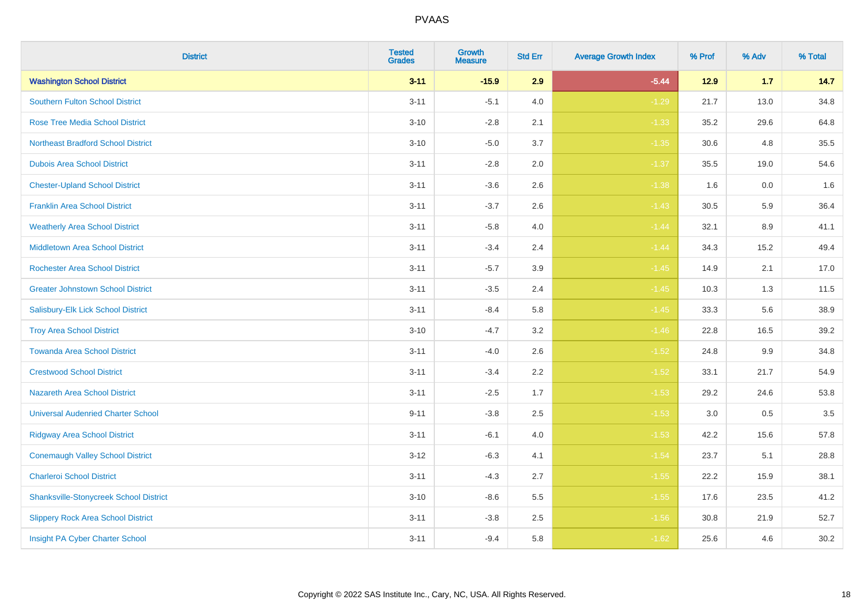| <b>District</b>                               | <b>Tested</b><br><b>Grades</b> | Growth<br><b>Measure</b> | <b>Std Err</b> | <b>Average Growth Index</b> | % Prof | % Adv | % Total |
|-----------------------------------------------|--------------------------------|--------------------------|----------------|-----------------------------|--------|-------|---------|
| <b>Washington School District</b>             | $3 - 11$                       | $-15.9$                  | 2.9            | $-5.44$                     | $12.9$ | 1.7   | 14.7    |
| <b>Southern Fulton School District</b>        | $3 - 11$                       | $-5.1$                   | 4.0            | $-1.29$                     | 21.7   | 13.0  | 34.8    |
| <b>Rose Tree Media School District</b>        | $3 - 10$                       | $-2.8$                   | 2.1            | $-1.33$                     | 35.2   | 29.6  | 64.8    |
| <b>Northeast Bradford School District</b>     | $3 - 10$                       | $-5.0$                   | 3.7            | $-1.35$                     | 30.6   | 4.8   | 35.5    |
| <b>Dubois Area School District</b>            | $3 - 11$                       | $-2.8$                   | 2.0            | $-1.37$                     | 35.5   | 19.0  | 54.6    |
| <b>Chester-Upland School District</b>         | $3 - 11$                       | $-3.6$                   | 2.6            | $-1.38$                     | 1.6    | 0.0   | 1.6     |
| <b>Franklin Area School District</b>          | $3 - 11$                       | $-3.7$                   | 2.6            | $-1.43$                     | 30.5   | 5.9   | 36.4    |
| <b>Weatherly Area School District</b>         | $3 - 11$                       | $-5.8$                   | 4.0            | $-1.44$                     | 32.1   | 8.9   | 41.1    |
| <b>Middletown Area School District</b>        | $3 - 11$                       | $-3.4$                   | 2.4            | $-1.44$                     | 34.3   | 15.2  | 49.4    |
| <b>Rochester Area School District</b>         | $3 - 11$                       | $-5.7$                   | 3.9            | $-1.45$                     | 14.9   | 2.1   | 17.0    |
| <b>Greater Johnstown School District</b>      | $3 - 11$                       | $-3.5$                   | 2.4            | $-1.45$                     | 10.3   | 1.3   | 11.5    |
| Salisbury-Elk Lick School District            | $3 - 11$                       | $-8.4$                   | 5.8            | $-1.45$                     | 33.3   | 5.6   | 38.9    |
| <b>Troy Area School District</b>              | $3 - 10$                       | $-4.7$                   | $3.2\,$        | $-1.46$                     | 22.8   | 16.5  | 39.2    |
| <b>Towanda Area School District</b>           | $3 - 11$                       | $-4.0$                   | 2.6            | $-1.52$                     | 24.8   | 9.9   | 34.8    |
| <b>Crestwood School District</b>              | $3 - 11$                       | $-3.4$                   | 2.2            | $-1.52$                     | 33.1   | 21.7  | 54.9    |
| <b>Nazareth Area School District</b>          | $3 - 11$                       | $-2.5$                   | 1.7            | $-1.53$                     | 29.2   | 24.6  | 53.8    |
| <b>Universal Audenried Charter School</b>     | $9 - 11$                       | $-3.8$                   | 2.5            | $-1.53$                     | 3.0    | 0.5   | 3.5     |
| <b>Ridgway Area School District</b>           | $3 - 11$                       | $-6.1$                   | 4.0            | $-1.53$                     | 42.2   | 15.6  | 57.8    |
| <b>Conemaugh Valley School District</b>       | $3 - 12$                       | $-6.3$                   | 4.1            | $-1.54$                     | 23.7   | 5.1   | 28.8    |
| <b>Charleroi School District</b>              | $3 - 11$                       | $-4.3$                   | 2.7            | $-1.55$                     | 22.2   | 15.9  | 38.1    |
| <b>Shanksville-Stonycreek School District</b> | $3 - 10$                       | $-8.6$                   | 5.5            | $-1.55$                     | 17.6   | 23.5  | 41.2    |
| <b>Slippery Rock Area School District</b>     | $3 - 11$                       | $-3.8$                   | 2.5            | $-1.56$                     | 30.8   | 21.9  | 52.7    |
| Insight PA Cyber Charter School               | $3 - 11$                       | $-9.4$                   | 5.8            | $-1.62$                     | 25.6   | 4.6   | 30.2    |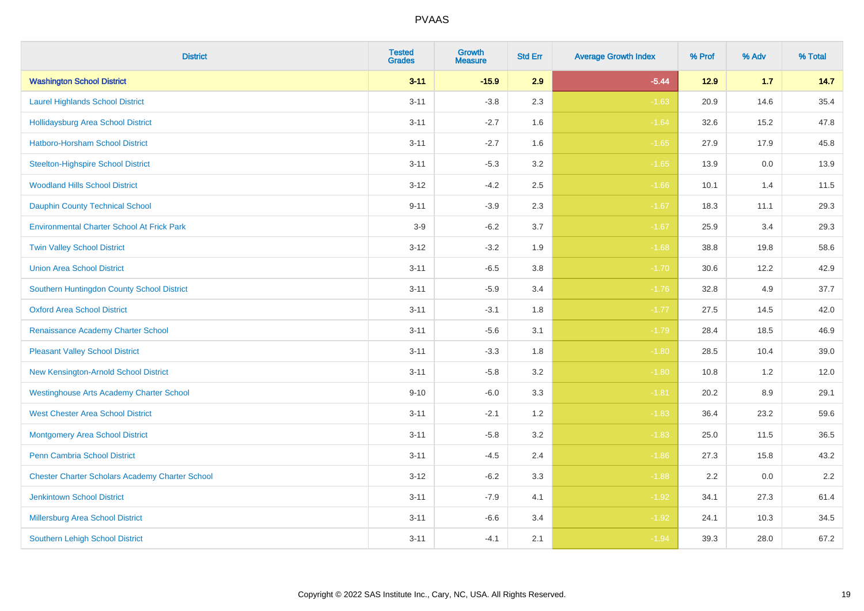| <b>District</b>                                        | <b>Tested</b><br><b>Grades</b> | <b>Growth</b><br><b>Measure</b> | <b>Std Err</b> | <b>Average Growth Index</b> | % Prof | % Adv | % Total |
|--------------------------------------------------------|--------------------------------|---------------------------------|----------------|-----------------------------|--------|-------|---------|
| <b>Washington School District</b>                      | $3 - 11$                       | $-15.9$                         | 2.9            | $-5.44$                     | 12.9   | $1.7$ | 14.7    |
| <b>Laurel Highlands School District</b>                | $3 - 11$                       | $-3.8$                          | 2.3            | $-1.63$                     | 20.9   | 14.6  | 35.4    |
| <b>Hollidaysburg Area School District</b>              | $3 - 11$                       | $-2.7$                          | 1.6            | $-1.64$                     | 32.6   | 15.2  | 47.8    |
| <b>Hatboro-Horsham School District</b>                 | $3 - 11$                       | $-2.7$                          | 1.6            | $-1.65$                     | 27.9   | 17.9  | 45.8    |
| <b>Steelton-Highspire School District</b>              | $3 - 11$                       | $-5.3$                          | 3.2            | $-1.65$                     | 13.9   | 0.0   | 13.9    |
| <b>Woodland Hills School District</b>                  | $3 - 12$                       | $-4.2$                          | 2.5            | $-1.66$                     | 10.1   | 1.4   | 11.5    |
| <b>Dauphin County Technical School</b>                 | $9 - 11$                       | $-3.9$                          | 2.3            | $-1.67$                     | 18.3   | 11.1  | 29.3    |
| <b>Environmental Charter School At Frick Park</b>      | $3-9$                          | $-6.2$                          | 3.7            | $-1.67$                     | 25.9   | 3.4   | 29.3    |
| <b>Twin Valley School District</b>                     | $3 - 12$                       | $-3.2$                          | 1.9            | $-1.68$                     | 38.8   | 19.8  | 58.6    |
| <b>Union Area School District</b>                      | $3 - 11$                       | $-6.5$                          | 3.8            | $-1.70$                     | 30.6   | 12.2  | 42.9    |
| Southern Huntingdon County School District             | $3 - 11$                       | $-5.9$                          | 3.4            | $-1.76$                     | 32.8   | 4.9   | 37.7    |
| <b>Oxford Area School District</b>                     | $3 - 11$                       | $-3.1$                          | 1.8            | $-1.77$                     | 27.5   | 14.5  | 42.0    |
| Renaissance Academy Charter School                     | $3 - 11$                       | $-5.6$                          | 3.1            | $-1.79$                     | 28.4   | 18.5  | 46.9    |
| <b>Pleasant Valley School District</b>                 | $3 - 11$                       | $-3.3$                          | 1.8            | $-1.80$                     | 28.5   | 10.4  | 39.0    |
| New Kensington-Arnold School District                  | $3 - 11$                       | $-5.8$                          | 3.2            | $-1.80$                     | 10.8   | 1.2   | 12.0    |
| <b>Westinghouse Arts Academy Charter School</b>        | $9 - 10$                       | $-6.0$                          | 3.3            | $-1.81$                     | 20.2   | 8.9   | 29.1    |
| <b>West Chester Area School District</b>               | $3 - 11$                       | $-2.1$                          | 1.2            | $-1.83$                     | 36.4   | 23.2  | 59.6    |
| <b>Montgomery Area School District</b>                 | $3 - 11$                       | $-5.8$                          | 3.2            | $-1.83$                     | 25.0   | 11.5  | 36.5    |
| <b>Penn Cambria School District</b>                    | $3 - 11$                       | $-4.5$                          | 2.4            | $-1.86$                     | 27.3   | 15.8  | 43.2    |
| <b>Chester Charter Scholars Academy Charter School</b> | $3 - 12$                       | $-6.2$                          | 3.3            | $-1.88$                     | 2.2    | 0.0   | 2.2     |
| <b>Jenkintown School District</b>                      | $3 - 11$                       | $-7.9$                          | 4.1            | $-1.92$                     | 34.1   | 27.3  | 61.4    |
| <b>Millersburg Area School District</b>                | $3 - 11$                       | $-6.6$                          | 3.4            | $-1.92$                     | 24.1   | 10.3  | 34.5    |
| Southern Lehigh School District                        | $3 - 11$                       | $-4.1$                          | 2.1            | $-1.94$                     | 39.3   | 28.0  | 67.2    |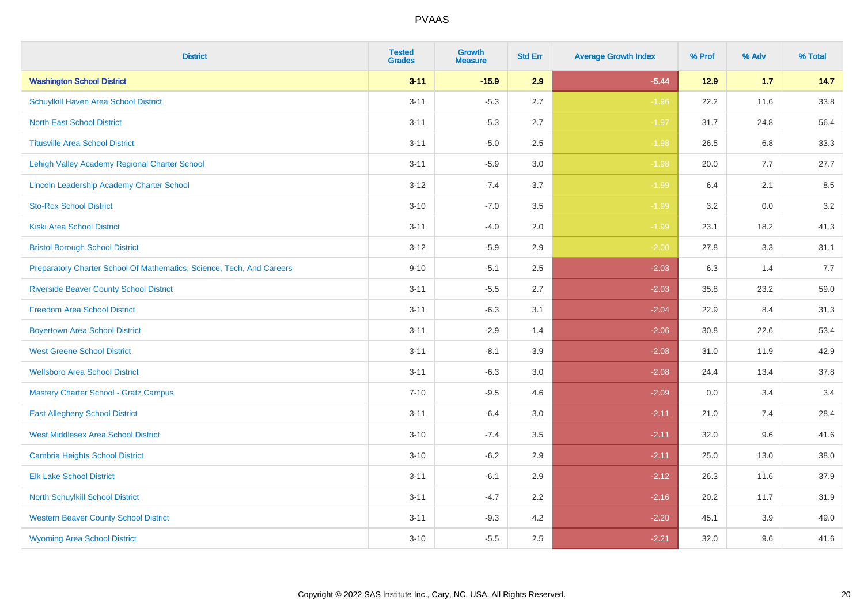| <b>District</b>                                                       | <b>Tested</b><br><b>Grades</b> | <b>Growth</b><br><b>Measure</b> | <b>Std Err</b> | <b>Average Growth Index</b> | % Prof | % Adv   | % Total |
|-----------------------------------------------------------------------|--------------------------------|---------------------------------|----------------|-----------------------------|--------|---------|---------|
| <b>Washington School District</b>                                     | $3 - 11$                       | $-15.9$                         | 2.9            | $-5.44$                     | $12.9$ | 1.7     | 14.7    |
| Schuylkill Haven Area School District                                 | $3 - 11$                       | $-5.3$                          | 2.7            | $-1.96$                     | 22.2   | 11.6    | 33.8    |
| <b>North East School District</b>                                     | $3 - 11$                       | $-5.3$                          | 2.7            | $-1.97$                     | 31.7   | 24.8    | 56.4    |
| <b>Titusville Area School District</b>                                | $3 - 11$                       | $-5.0$                          | 2.5            | $-1.98$                     | 26.5   | 6.8     | 33.3    |
| Lehigh Valley Academy Regional Charter School                         | $3 - 11$                       | $-5.9$                          | 3.0            | $-1.98$                     | 20.0   | 7.7     | 27.7    |
| Lincoln Leadership Academy Charter School                             | $3 - 12$                       | $-7.4$                          | 3.7            | $-1.99$                     | 6.4    | 2.1     | 8.5     |
| <b>Sto-Rox School District</b>                                        | $3 - 10$                       | $-7.0$                          | 3.5            | $-1.99$                     | 3.2    | $0.0\,$ | 3.2     |
| <b>Kiski Area School District</b>                                     | $3 - 11$                       | $-4.0$                          | 2.0            | $-1.99$                     | 23.1   | 18.2    | 41.3    |
| <b>Bristol Borough School District</b>                                | $3 - 12$                       | $-5.9$                          | 2.9            | $-2.00$                     | 27.8   | 3.3     | 31.1    |
| Preparatory Charter School Of Mathematics, Science, Tech, And Careers | $9 - 10$                       | $-5.1$                          | $2.5\,$        | $-2.03$                     | 6.3    | 1.4     | 7.7     |
| <b>Riverside Beaver County School District</b>                        | $3 - 11$                       | $-5.5$                          | 2.7            | $-2.03$                     | 35.8   | 23.2    | 59.0    |
| <b>Freedom Area School District</b>                                   | $3 - 11$                       | $-6.3$                          | 3.1            | $-2.04$                     | 22.9   | 8.4     | 31.3    |
| <b>Boyertown Area School District</b>                                 | $3 - 11$                       | $-2.9$                          | 1.4            | $-2.06$                     | 30.8   | 22.6    | 53.4    |
| <b>West Greene School District</b>                                    | $3 - 11$                       | $-8.1$                          | 3.9            | $-2.08$                     | 31.0   | 11.9    | 42.9    |
| <b>Wellsboro Area School District</b>                                 | $3 - 11$                       | $-6.3$                          | 3.0            | $-2.08$                     | 24.4   | 13.4    | 37.8    |
| <b>Mastery Charter School - Gratz Campus</b>                          | $7 - 10$                       | $-9.5$                          | 4.6            | $-2.09$                     | 0.0    | 3.4     | 3.4     |
| <b>East Allegheny School District</b>                                 | $3 - 11$                       | $-6.4$                          | 3.0            | $-2.11$                     | 21.0   | 7.4     | 28.4    |
| <b>West Middlesex Area School District</b>                            | $3 - 10$                       | $-7.4$                          | 3.5            | $-2.11$                     | 32.0   | 9.6     | 41.6    |
| <b>Cambria Heights School District</b>                                | $3 - 10$                       | $-6.2$                          | 2.9            | $-2.11$                     | 25.0   | 13.0    | 38.0    |
| <b>Elk Lake School District</b>                                       | $3 - 11$                       | $-6.1$                          | 2.9            | $-2.12$                     | 26.3   | 11.6    | 37.9    |
| North Schuylkill School District                                      | $3 - 11$                       | $-4.7$                          | 2.2            | $-2.16$                     | 20.2   | 11.7    | 31.9    |
| <b>Western Beaver County School District</b>                          | $3 - 11$                       | $-9.3$                          | 4.2            | $-2.20$                     | 45.1   | 3.9     | 49.0    |
| <b>Wyoming Area School District</b>                                   | $3 - 10$                       | $-5.5$                          | 2.5            | $-2.21$                     | 32.0   | 9.6     | 41.6    |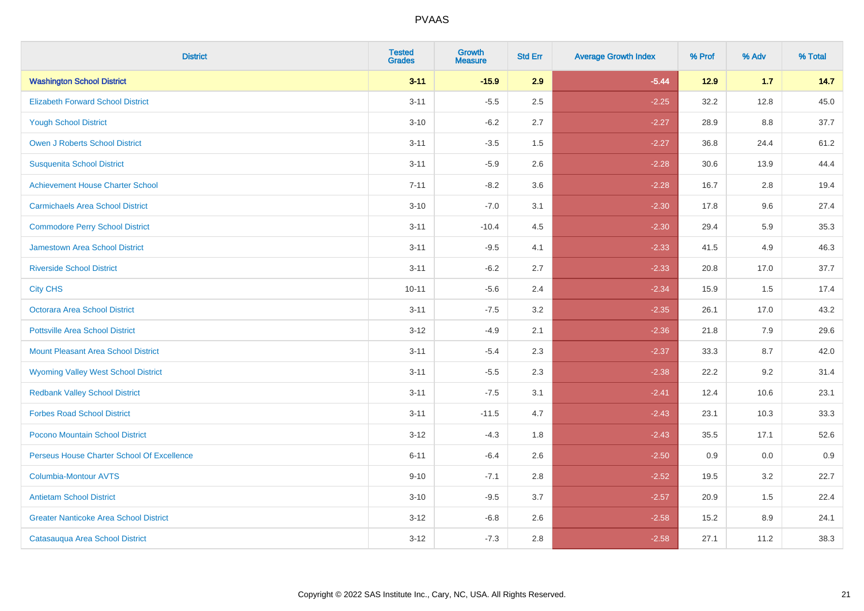| <b>District</b>                               | <b>Tested</b><br><b>Grades</b> | Growth<br><b>Measure</b> | <b>Std Err</b> | <b>Average Growth Index</b> | % Prof | % Adv | % Total |
|-----------------------------------------------|--------------------------------|--------------------------|----------------|-----------------------------|--------|-------|---------|
| <b>Washington School District</b>             | $3 - 11$                       | $-15.9$                  | 2.9            | $-5.44$                     | $12.9$ | 1.7   | 14.7    |
| <b>Elizabeth Forward School District</b>      | $3 - 11$                       | $-5.5$                   | 2.5            | $-2.25$                     | 32.2   | 12.8  | 45.0    |
| <b>Yough School District</b>                  | $3 - 10$                       | $-6.2$                   | 2.7            | $-2.27$                     | 28.9   | 8.8   | 37.7    |
| Owen J Roberts School District                | $3 - 11$                       | $-3.5$                   | 1.5            | $-2.27$                     | 36.8   | 24.4  | 61.2    |
| <b>Susquenita School District</b>             | $3 - 11$                       | $-5.9$                   | 2.6            | $-2.28$                     | 30.6   | 13.9  | 44.4    |
| <b>Achievement House Charter School</b>       | $7 - 11$                       | $-8.2$                   | 3.6            | $-2.28$                     | 16.7   | 2.8   | 19.4    |
| <b>Carmichaels Area School District</b>       | $3 - 10$                       | $-7.0$                   | 3.1            | $-2.30$                     | 17.8   | 9.6   | 27.4    |
| <b>Commodore Perry School District</b>        | $3 - 11$                       | $-10.4$                  | 4.5            | $-2.30$                     | 29.4   | 5.9   | 35.3    |
| Jamestown Area School District                | $3 - 11$                       | $-9.5$                   | 4.1            | $-2.33$                     | 41.5   | 4.9   | 46.3    |
| <b>Riverside School District</b>              | $3 - 11$                       | $-6.2$                   | 2.7            | $-2.33$                     | 20.8   | 17.0  | 37.7    |
| <b>City CHS</b>                               | $10 - 11$                      | $-5.6$                   | 2.4            | $-2.34$                     | 15.9   | 1.5   | 17.4    |
| <b>Octorara Area School District</b>          | $3 - 11$                       | $-7.5$                   | 3.2            | $-2.35$                     | 26.1   | 17.0  | 43.2    |
| <b>Pottsville Area School District</b>        | $3 - 12$                       | $-4.9$                   | 2.1            | $-2.36$                     | 21.8   | 7.9   | 29.6    |
| <b>Mount Pleasant Area School District</b>    | $3 - 11$                       | $-5.4$                   | 2.3            | $-2.37$                     | 33.3   | 8.7   | 42.0    |
| <b>Wyoming Valley West School District</b>    | $3 - 11$                       | $-5.5$                   | 2.3            | $-2.38$                     | 22.2   | 9.2   | 31.4    |
| <b>Redbank Valley School District</b>         | $3 - 11$                       | $-7.5$                   | 3.1            | $-2.41$                     | 12.4   | 10.6  | 23.1    |
| <b>Forbes Road School District</b>            | $3 - 11$                       | $-11.5$                  | 4.7            | $-2.43$                     | 23.1   | 10.3  | 33.3    |
| Pocono Mountain School District               | $3 - 12$                       | $-4.3$                   | 1.8            | $-2.43$                     | 35.5   | 17.1  | 52.6    |
| Perseus House Charter School Of Excellence    | $6 - 11$                       | $-6.4$                   | 2.6            | $-2.50$                     | 0.9    | 0.0   | 0.9     |
| <b>Columbia-Montour AVTS</b>                  | $9 - 10$                       | $-7.1$                   | 2.8            | $-2.52$                     | 19.5   | 3.2   | 22.7    |
| <b>Antietam School District</b>               | $3 - 10$                       | $-9.5$                   | 3.7            | $-2.57$                     | 20.9   | 1.5   | 22.4    |
| <b>Greater Nanticoke Area School District</b> | $3 - 12$                       | $-6.8$                   | 2.6            | $-2.58$                     | 15.2   | 8.9   | 24.1    |
| Catasauqua Area School District               | $3-12$                         | $-7.3$                   | 2.8            | $-2.58$                     | 27.1   | 11.2  | 38.3    |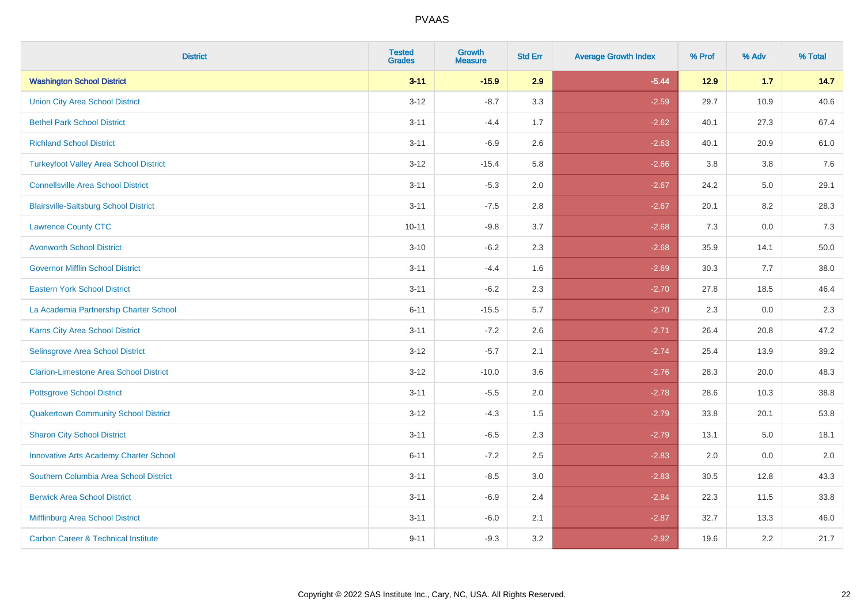| <b>District</b>                                | <b>Tested</b><br><b>Grades</b> | <b>Growth</b><br><b>Measure</b> | <b>Std Err</b> | <b>Average Growth Index</b> | % Prof | % Adv | % Total  |
|------------------------------------------------|--------------------------------|---------------------------------|----------------|-----------------------------|--------|-------|----------|
| <b>Washington School District</b>              | $3 - 11$                       | $-15.9$                         | 2.9            | $-5.44$                     | 12.9   | $1.7$ | 14.7     |
| <b>Union City Area School District</b>         | $3 - 12$                       | $-8.7$                          | 3.3            | $-2.59$                     | 29.7   | 10.9  | 40.6     |
| <b>Bethel Park School District</b>             | $3 - 11$                       | $-4.4$                          | 1.7            | $-2.62$                     | 40.1   | 27.3  | 67.4     |
| <b>Richland School District</b>                | $3 - 11$                       | $-6.9$                          | 2.6            | $-2.63$                     | 40.1   | 20.9  | 61.0     |
| <b>Turkeyfoot Valley Area School District</b>  | $3 - 12$                       | $-15.4$                         | 5.8            | $-2.66$                     | 3.8    | 3.8   | 7.6      |
| <b>Connellsville Area School District</b>      | $3 - 11$                       | $-5.3$                          | 2.0            | $-2.67$                     | 24.2   | 5.0   | 29.1     |
| <b>Blairsville-Saltsburg School District</b>   | $3 - 11$                       | $-7.5$                          | 2.8            | $-2.67$                     | 20.1   | 8.2   | 28.3     |
| <b>Lawrence County CTC</b>                     | $10 - 11$                      | $-9.8$                          | 3.7            | $-2.68$                     | 7.3    | 0.0   | 7.3      |
| <b>Avonworth School District</b>               | $3 - 10$                       | $-6.2$                          | 2.3            | $-2.68$                     | 35.9   | 14.1  | $50.0\,$ |
| <b>Governor Mifflin School District</b>        | $3 - 11$                       | $-4.4$                          | 1.6            | $-2.69$                     | 30.3   | 7.7   | 38.0     |
| <b>Eastern York School District</b>            | $3 - 11$                       | $-6.2$                          | 2.3            | $-2.70$                     | 27.8   | 18.5  | 46.4     |
| La Academia Partnership Charter School         | $6 - 11$                       | $-15.5$                         | 5.7            | $-2.70$                     | 2.3    | 0.0   | 2.3      |
| Karns City Area School District                | $3 - 11$                       | $-7.2$                          | 2.6            | $-2.71$                     | 26.4   | 20.8  | 47.2     |
| <b>Selinsgrove Area School District</b>        | $3 - 12$                       | $-5.7$                          | 2.1            | $-2.74$                     | 25.4   | 13.9  | 39.2     |
| <b>Clarion-Limestone Area School District</b>  | $3 - 12$                       | $-10.0$                         | 3.6            | $-2.76$                     | 28.3   | 20.0  | 48.3     |
| <b>Pottsgrove School District</b>              | $3 - 11$                       | $-5.5$                          | 2.0            | $-2.78$                     | 28.6   | 10.3  | 38.8     |
| <b>Quakertown Community School District</b>    | $3 - 12$                       | $-4.3$                          | 1.5            | $-2.79$                     | 33.8   | 20.1  | 53.8     |
| <b>Sharon City School District</b>             | $3 - 11$                       | $-6.5$                          | 2.3            | $-2.79$                     | 13.1   | 5.0   | 18.1     |
| <b>Innovative Arts Academy Charter School</b>  | $6 - 11$                       | $-7.2$                          | 2.5            | $-2.83$                     | 2.0    | 0.0   | 2.0      |
| Southern Columbia Area School District         | $3 - 11$                       | $-8.5$                          | 3.0            | $-2.83$                     | 30.5   | 12.8  | 43.3     |
| <b>Berwick Area School District</b>            | $3 - 11$                       | $-6.9$                          | 2.4            | $-2.84$                     | 22.3   | 11.5  | 33.8     |
| Mifflinburg Area School District               | $3 - 11$                       | $-6.0$                          | 2.1            | $-2.87$                     | 32.7   | 13.3  | 46.0     |
| <b>Carbon Career &amp; Technical Institute</b> | $9 - 11$                       | $-9.3$                          | 3.2            | $-2.92$                     | 19.6   | 2.2   | 21.7     |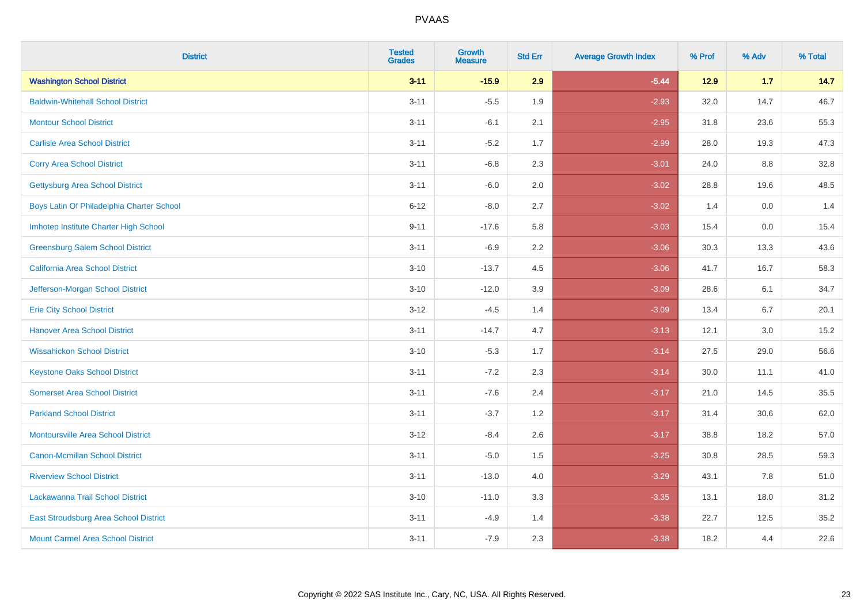| <b>District</b>                           | <b>Tested</b><br><b>Grades</b> | <b>Growth</b><br><b>Measure</b> | <b>Std Err</b> | <b>Average Growth Index</b> | % Prof | % Adv | % Total |
|-------------------------------------------|--------------------------------|---------------------------------|----------------|-----------------------------|--------|-------|---------|
| <b>Washington School District</b>         | $3 - 11$                       | $-15.9$                         | 2.9            | $-5.44$                     | 12.9   | 1.7   | 14.7    |
| <b>Baldwin-Whitehall School District</b>  | $3 - 11$                       | $-5.5$                          | 1.9            | $-2.93$                     | 32.0   | 14.7  | 46.7    |
| <b>Montour School District</b>            | $3 - 11$                       | $-6.1$                          | 2.1            | $-2.95$                     | 31.8   | 23.6  | 55.3    |
| <b>Carlisle Area School District</b>      | $3 - 11$                       | $-5.2$                          | 1.7            | $-2.99$                     | 28.0   | 19.3  | 47.3    |
| <b>Corry Area School District</b>         | $3 - 11$                       | $-6.8$                          | 2.3            | $-3.01$                     | 24.0   | 8.8   | 32.8    |
| <b>Gettysburg Area School District</b>    | $3 - 11$                       | $-6.0$                          | 2.0            | $-3.02$                     | 28.8   | 19.6  | 48.5    |
| Boys Latin Of Philadelphia Charter School | $6 - 12$                       | $-8.0$                          | 2.7            | $-3.02$                     | 1.4    | 0.0   | 1.4     |
| Imhotep Institute Charter High School     | $9 - 11$                       | $-17.6$                         | 5.8            | $-3.03$                     | 15.4   | 0.0   | 15.4    |
| <b>Greensburg Salem School District</b>   | $3 - 11$                       | $-6.9$                          | 2.2            | $-3.06$                     | 30.3   | 13.3  | 43.6    |
| <b>California Area School District</b>    | $3 - 10$                       | $-13.7$                         | 4.5            | $-3.06$                     | 41.7   | 16.7  | 58.3    |
| Jefferson-Morgan School District          | $3 - 10$                       | $-12.0$                         | 3.9            | $-3.09$                     | 28.6   | 6.1   | 34.7    |
| <b>Erie City School District</b>          | $3 - 12$                       | $-4.5$                          | 1.4            | $-3.09$                     | 13.4   | 6.7   | 20.1    |
| <b>Hanover Area School District</b>       | $3 - 11$                       | $-14.7$                         | 4.7            | $-3.13$                     | 12.1   | 3.0   | 15.2    |
| <b>Wissahickon School District</b>        | $3 - 10$                       | $-5.3$                          | 1.7            | $-3.14$                     | 27.5   | 29.0  | 56.6    |
| <b>Keystone Oaks School District</b>      | $3 - 11$                       | $-7.2$                          | 2.3            | $-3.14$                     | 30.0   | 11.1  | 41.0    |
| <b>Somerset Area School District</b>      | $3 - 11$                       | $-7.6$                          | 2.4            | $-3.17$                     | 21.0   | 14.5  | 35.5    |
| <b>Parkland School District</b>           | $3 - 11$                       | $-3.7$                          | 1.2            | $-3.17$                     | 31.4   | 30.6  | 62.0    |
| Montoursville Area School District        | $3 - 12$                       | $-8.4$                          | 2.6            | $-3.17$                     | 38.8   | 18.2  | 57.0    |
| <b>Canon-Mcmillan School District</b>     | $3 - 11$                       | $-5.0$                          | 1.5            | $-3.25$                     | 30.8   | 28.5  | 59.3    |
| <b>Riverview School District</b>          | $3 - 11$                       | $-13.0$                         | 4.0            | $-3.29$                     | 43.1   | 7.8   | 51.0    |
| Lackawanna Trail School District          | $3 - 10$                       | $-11.0$                         | 3.3            | $-3.35$                     | 13.1   | 18.0  | 31.2    |
| East Stroudsburg Area School District     | $3 - 11$                       | $-4.9$                          | 1.4            | $-3.38$                     | 22.7   | 12.5  | 35.2    |
| <b>Mount Carmel Area School District</b>  | $3 - 11$                       | $-7.9$                          | 2.3            | $-3.38$                     | 18.2   | 4.4   | 22.6    |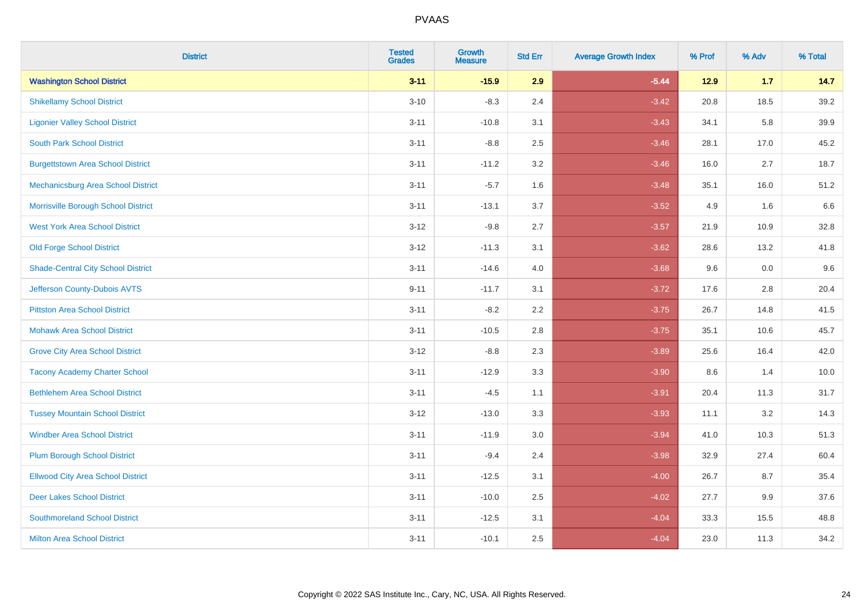| <b>District</b>                           | <b>Tested</b><br><b>Grades</b> | <b>Growth</b><br><b>Measure</b> | <b>Std Err</b> | <b>Average Growth Index</b> | % Prof | % Adv | % Total |
|-------------------------------------------|--------------------------------|---------------------------------|----------------|-----------------------------|--------|-------|---------|
| <b>Washington School District</b>         | $3 - 11$                       | $-15.9$                         | 2.9            | $-5.44$                     | $12.9$ | 1.7   | 14.7    |
| <b>Shikellamy School District</b>         | $3 - 10$                       | $-8.3$                          | 2.4            | $-3.42$                     | 20.8   | 18.5  | 39.2    |
| <b>Ligonier Valley School District</b>    | $3 - 11$                       | $-10.8$                         | 3.1            | $-3.43$                     | 34.1   | 5.8   | 39.9    |
| <b>South Park School District</b>         | $3 - 11$                       | $-8.8$                          | 2.5            | $-3.46$                     | 28.1   | 17.0  | 45.2    |
| <b>Burgettstown Area School District</b>  | $3 - 11$                       | $-11.2$                         | 3.2            | $-3.46$                     | 16.0   | 2.7   | 18.7    |
| Mechanicsburg Area School District        | $3 - 11$                       | $-5.7$                          | 1.6            | $-3.48$                     | 35.1   | 16.0  | 51.2    |
| Morrisville Borough School District       | $3 - 11$                       | $-13.1$                         | 3.7            | $-3.52$                     | 4.9    | 1.6   | 6.6     |
| <b>West York Area School District</b>     | $3 - 12$                       | $-9.8$                          | 2.7            | $-3.57$                     | 21.9   | 10.9  | 32.8    |
| <b>Old Forge School District</b>          | $3 - 12$                       | $-11.3$                         | 3.1            | $-3.62$                     | 28.6   | 13.2  | 41.8    |
| <b>Shade-Central City School District</b> | $3 - 11$                       | $-14.6$                         | 4.0            | $-3.68$                     | 9.6    | 0.0   | 9.6     |
| Jefferson County-Dubois AVTS              | $9 - 11$                       | $-11.7$                         | 3.1            | $-3.72$                     | 17.6   | 2.8   | 20.4    |
| <b>Pittston Area School District</b>      | $3 - 11$                       | $-8.2$                          | 2.2            | $-3.75$                     | 26.7   | 14.8  | 41.5    |
| <b>Mohawk Area School District</b>        | $3 - 11$                       | $-10.5$                         | 2.8            | $-3.75$                     | 35.1   | 10.6  | 45.7    |
| <b>Grove City Area School District</b>    | $3 - 12$                       | $-8.8$                          | 2.3            | $-3.89$                     | 25.6   | 16.4  | 42.0    |
| <b>Tacony Academy Charter School</b>      | $3 - 11$                       | $-12.9$                         | 3.3            | $-3.90$                     | 8.6    | 1.4   | 10.0    |
| <b>Bethlehem Area School District</b>     | $3 - 11$                       | $-4.5$                          | 1.1            | $-3.91$                     | 20.4   | 11.3  | 31.7    |
| <b>Tussey Mountain School District</b>    | $3 - 12$                       | $-13.0$                         | 3.3            | $-3.93$                     | 11.1   | 3.2   | 14.3    |
| <b>Windber Area School District</b>       | $3 - 11$                       | $-11.9$                         | 3.0            | $-3.94$                     | 41.0   | 10.3  | 51.3    |
| <b>Plum Borough School District</b>       | $3 - 11$                       | $-9.4$                          | 2.4            | $-3.98$                     | 32.9   | 27.4  | 60.4    |
| <b>Ellwood City Area School District</b>  | $3 - 11$                       | $-12.5$                         | 3.1            | $-4.00$                     | 26.7   | 8.7   | 35.4    |
| <b>Deer Lakes School District</b>         | $3 - 11$                       | $-10.0$                         | 2.5            | $-4.02$                     | 27.7   | 9.9   | 37.6    |
| <b>Southmoreland School District</b>      | $3 - 11$                       | $-12.5$                         | 3.1            | $-4.04$                     | 33.3   | 15.5  | 48.8    |
| <b>Milton Area School District</b>        | $3 - 11$                       | $-10.1$                         | 2.5            | $-4.04$                     | 23.0   | 11.3  | 34.2    |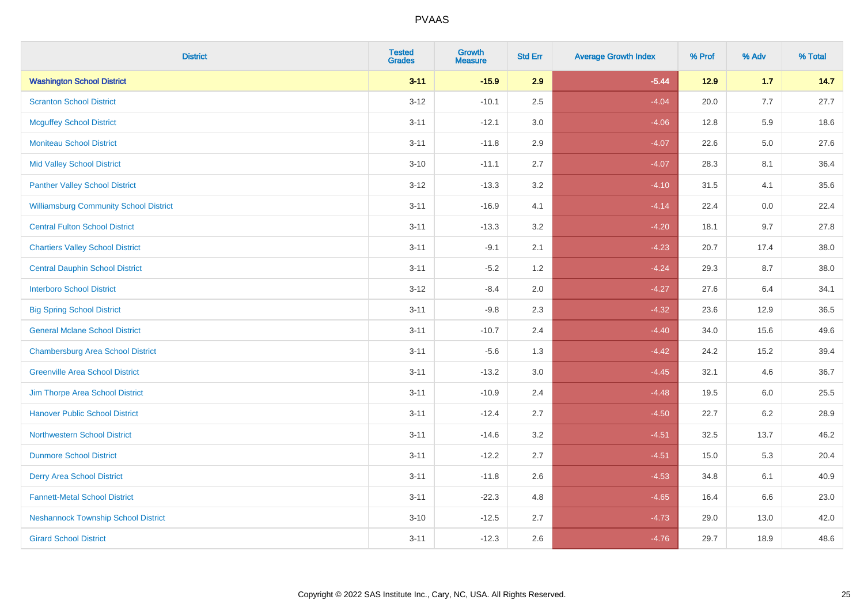| <b>District</b>                               | <b>Tested</b><br>Grades | <b>Growth</b><br><b>Measure</b> | <b>Std Err</b> | <b>Average Growth Index</b> | % Prof | % Adv   | % Total |
|-----------------------------------------------|-------------------------|---------------------------------|----------------|-----------------------------|--------|---------|---------|
| <b>Washington School District</b>             | $3 - 11$                | $-15.9$                         | 2.9            | $-5.44$                     | 12.9   | $1.7$   | 14.7    |
| <b>Scranton School District</b>               | $3 - 12$                | $-10.1$                         | 2.5            | $-4.04$                     | 20.0   | 7.7     | 27.7    |
| <b>Mcguffey School District</b>               | $3 - 11$                | $-12.1$                         | 3.0            | $-4.06$                     | 12.8   | 5.9     | 18.6    |
| <b>Moniteau School District</b>               | $3 - 11$                | $-11.8$                         | 2.9            | $-4.07$                     | 22.6   | $5.0\,$ | 27.6    |
| <b>Mid Valley School District</b>             | $3 - 10$                | $-11.1$                         | 2.7            | $-4.07$                     | 28.3   | 8.1     | 36.4    |
| <b>Panther Valley School District</b>         | $3 - 12$                | $-13.3$                         | 3.2            | $-4.10$                     | 31.5   | 4.1     | 35.6    |
| <b>Williamsburg Community School District</b> | $3 - 11$                | $-16.9$                         | 4.1            | $-4.14$                     | 22.4   | 0.0     | 22.4    |
| <b>Central Fulton School District</b>         | $3 - 11$                | $-13.3$                         | 3.2            | $-4.20$                     | 18.1   | 9.7     | 27.8    |
| <b>Chartiers Valley School District</b>       | $3 - 11$                | $-9.1$                          | 2.1            | $-4.23$                     | 20.7   | 17.4    | 38.0    |
| <b>Central Dauphin School District</b>        | $3 - 11$                | $-5.2$                          | 1.2            | $-4.24$                     | 29.3   | 8.7     | 38.0    |
| <b>Interboro School District</b>              | $3-12$                  | $-8.4$                          | 2.0            | $-4.27$                     | 27.6   | 6.4     | 34.1    |
| <b>Big Spring School District</b>             | $3 - 11$                | $-9.8$                          | 2.3            | $-4.32$                     | 23.6   | 12.9    | 36.5    |
| <b>General Mclane School District</b>         | $3 - 11$                | $-10.7$                         | 2.4            | $-4.40$                     | 34.0   | 15.6    | 49.6    |
| <b>Chambersburg Area School District</b>      | $3 - 11$                | $-5.6$                          | 1.3            | $-4.42$                     | 24.2   | 15.2    | 39.4    |
| <b>Greenville Area School District</b>        | $3 - 11$                | $-13.2$                         | $3.0\,$        | $-4.45$                     | 32.1   | 4.6     | 36.7    |
| Jim Thorpe Area School District               | $3 - 11$                | $-10.9$                         | 2.4            | $-4.48$                     | 19.5   | 6.0     | 25.5    |
| <b>Hanover Public School District</b>         | $3 - 11$                | $-12.4$                         | 2.7            | $-4.50$                     | 22.7   | $6.2\,$ | 28.9    |
| <b>Northwestern School District</b>           | $3 - 11$                | $-14.6$                         | 3.2            | $-4.51$                     | 32.5   | 13.7    | 46.2    |
| <b>Dunmore School District</b>                | $3 - 11$                | $-12.2$                         | 2.7            | $-4.51$                     | 15.0   | 5.3     | 20.4    |
| <b>Derry Area School District</b>             | $3 - 11$                | $-11.8$                         | 2.6            | $-4.53$                     | 34.8   | 6.1     | 40.9    |
| <b>Fannett-Metal School District</b>          | $3 - 11$                | $-22.3$                         | 4.8            | $-4.65$                     | 16.4   | 6.6     | 23.0    |
| <b>Neshannock Township School District</b>    | $3 - 10$                | $-12.5$                         | 2.7            | $-4.73$                     | 29.0   | 13.0    | 42.0    |
| <b>Girard School District</b>                 | $3 - 11$                | $-12.3$                         | 2.6            | $-4.76$                     | 29.7   | 18.9    | 48.6    |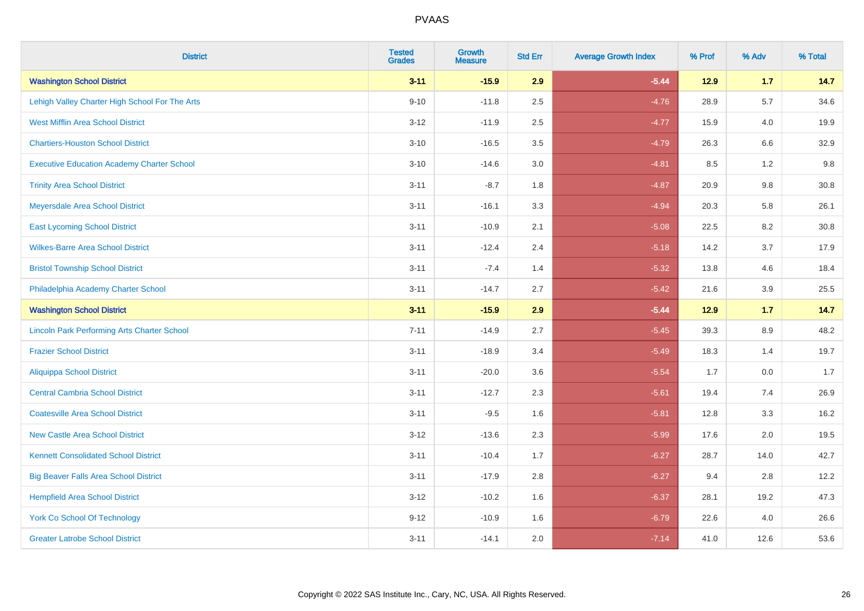| <b>District</b>                                    | <b>Tested</b><br><b>Grades</b> | <b>Growth</b><br><b>Measure</b> | <b>Std Err</b> | <b>Average Growth Index</b> | % Prof | % Adv   | % Total |
|----------------------------------------------------|--------------------------------|---------------------------------|----------------|-----------------------------|--------|---------|---------|
| <b>Washington School District</b>                  | $3 - 11$                       | $-15.9$                         | 2.9            | $-5.44$                     | 12.9   | 1.7     | 14.7    |
| Lehigh Valley Charter High School For The Arts     | $9 - 10$                       | $-11.8$                         | 2.5            | $-4.76$                     | 28.9   | $5.7\,$ | 34.6    |
| <b>West Mifflin Area School District</b>           | $3 - 12$                       | $-11.9$                         | 2.5            | $-4.77$                     | 15.9   | 4.0     | 19.9    |
| <b>Chartiers-Houston School District</b>           | $3 - 10$                       | $-16.5$                         | 3.5            | $-4.79$                     | 26.3   | 6.6     | 32.9    |
| <b>Executive Education Academy Charter School</b>  | $3 - 10$                       | $-14.6$                         | 3.0            | $-4.81$                     | 8.5    | 1.2     | 9.8     |
| <b>Trinity Area School District</b>                | $3 - 11$                       | $-8.7$                          | 1.8            | $-4.87$                     | 20.9   | 9.8     | 30.8    |
| Meyersdale Area School District                    | $3 - 11$                       | $-16.1$                         | 3.3            | $-4.94$                     | 20.3   | 5.8     | 26.1    |
| <b>East Lycoming School District</b>               | $3 - 11$                       | $-10.9$                         | 2.1            | $-5.08$                     | 22.5   | 8.2     | 30.8    |
| <b>Wilkes-Barre Area School District</b>           | $3 - 11$                       | $-12.4$                         | 2.4            | $-5.18$                     | 14.2   | 3.7     | 17.9    |
| <b>Bristol Township School District</b>            | $3 - 11$                       | $-7.4$                          | 1.4            | $-5.32$                     | 13.8   | 4.6     | 18.4    |
| Philadelphia Academy Charter School                | $3 - 11$                       | $-14.7$                         | 2.7            | $-5.42$                     | 21.6   | 3.9     | 25.5    |
| <b>Washington School District</b>                  | $3 - 11$                       | $-15.9$                         | 2.9            | $-5.44$                     | 12.9   | 1.7     | 14.7    |
| <b>Lincoln Park Performing Arts Charter School</b> | $7 - 11$                       | $-14.9$                         | 2.7            | $-5.45$                     | 39.3   | $8.9\,$ | 48.2    |
| <b>Frazier School District</b>                     | $3 - 11$                       | $-18.9$                         | 3.4            | $-5.49$                     | 18.3   | 1.4     | 19.7    |
| <b>Aliquippa School District</b>                   | $3 - 11$                       | $-20.0$                         | 3.6            | $-5.54$                     | 1.7    | 0.0     | 1.7     |
| <b>Central Cambria School District</b>             | $3 - 11$                       | $-12.7$                         | 2.3            | $-5.61$                     | 19.4   | 7.4     | 26.9    |
| <b>Coatesville Area School District</b>            | $3 - 11$                       | $-9.5$                          | 1.6            | $-5.81$                     | 12.8   | 3.3     | 16.2    |
| <b>New Castle Area School District</b>             | $3 - 12$                       | $-13.6$                         | 2.3            | $-5.99$                     | 17.6   | 2.0     | 19.5    |
| <b>Kennett Consolidated School District</b>        | $3 - 11$                       | $-10.4$                         | 1.7            | $-6.27$                     | 28.7   | 14.0    | 42.7    |
| <b>Big Beaver Falls Area School District</b>       | $3 - 11$                       | $-17.9$                         | 2.8            | $-6.27$                     | 9.4    | 2.8     | 12.2    |
| <b>Hempfield Area School District</b>              | $3 - 12$                       | $-10.2$                         | 1.6            | $-6.37$                     | 28.1   | 19.2    | 47.3    |
| <b>York Co School Of Technology</b>                | $9 - 12$                       | $-10.9$                         | 1.6            | $-6.79$                     | 22.6   | 4.0     | 26.6    |
| <b>Greater Latrobe School District</b>             | $3 - 11$                       | $-14.1$                         | 2.0            | $-7.14$                     | 41.0   | 12.6    | 53.6    |